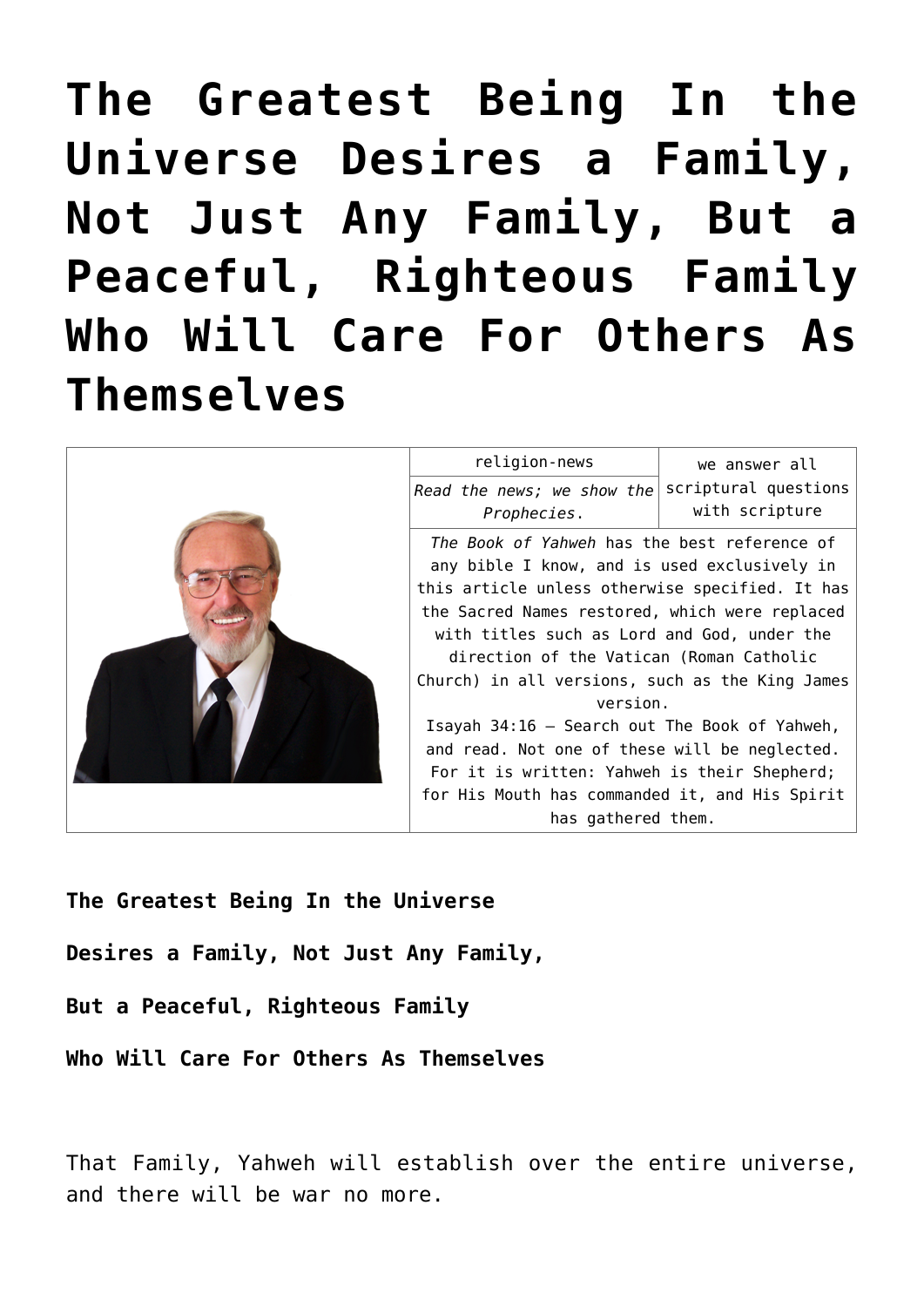# **[The Greatest Being In the](https://yahwehsbranch.com/the-greatest-being-in-the-universe-desires-a-family-not-just-any-family-but-a-peaceful-righteous-family-who-will-care-for-others-as-themselves/) [Universe Desires a Family,](https://yahwehsbranch.com/the-greatest-being-in-the-universe-desires-a-family-not-just-any-family-but-a-peaceful-righteous-family-who-will-care-for-others-as-themselves/) [Not Just Any Family, But a](https://yahwehsbranch.com/the-greatest-being-in-the-universe-desires-a-family-not-just-any-family-but-a-peaceful-righteous-family-who-will-care-for-others-as-themselves/) [Peaceful, Righteous Family](https://yahwehsbranch.com/the-greatest-being-in-the-universe-desires-a-family-not-just-any-family-but-a-peaceful-righteous-family-who-will-care-for-others-as-themselves/) [Who Will Care For Others As](https://yahwehsbranch.com/the-greatest-being-in-the-universe-desires-a-family-not-just-any-family-but-a-peaceful-righteous-family-who-will-care-for-others-as-themselves/) [Themselves](https://yahwehsbranch.com/the-greatest-being-in-the-universe-desires-a-family-not-just-any-family-but-a-peaceful-righteous-family-who-will-care-for-others-as-themselves/)**



**The Greatest Being In the Universe Desires a Family, Not Just Any Family, But a Peaceful, Righteous Family Who Will Care For Others As Themselves**

That Family, Yahweh will establish over the entire universe, and there will be war no more.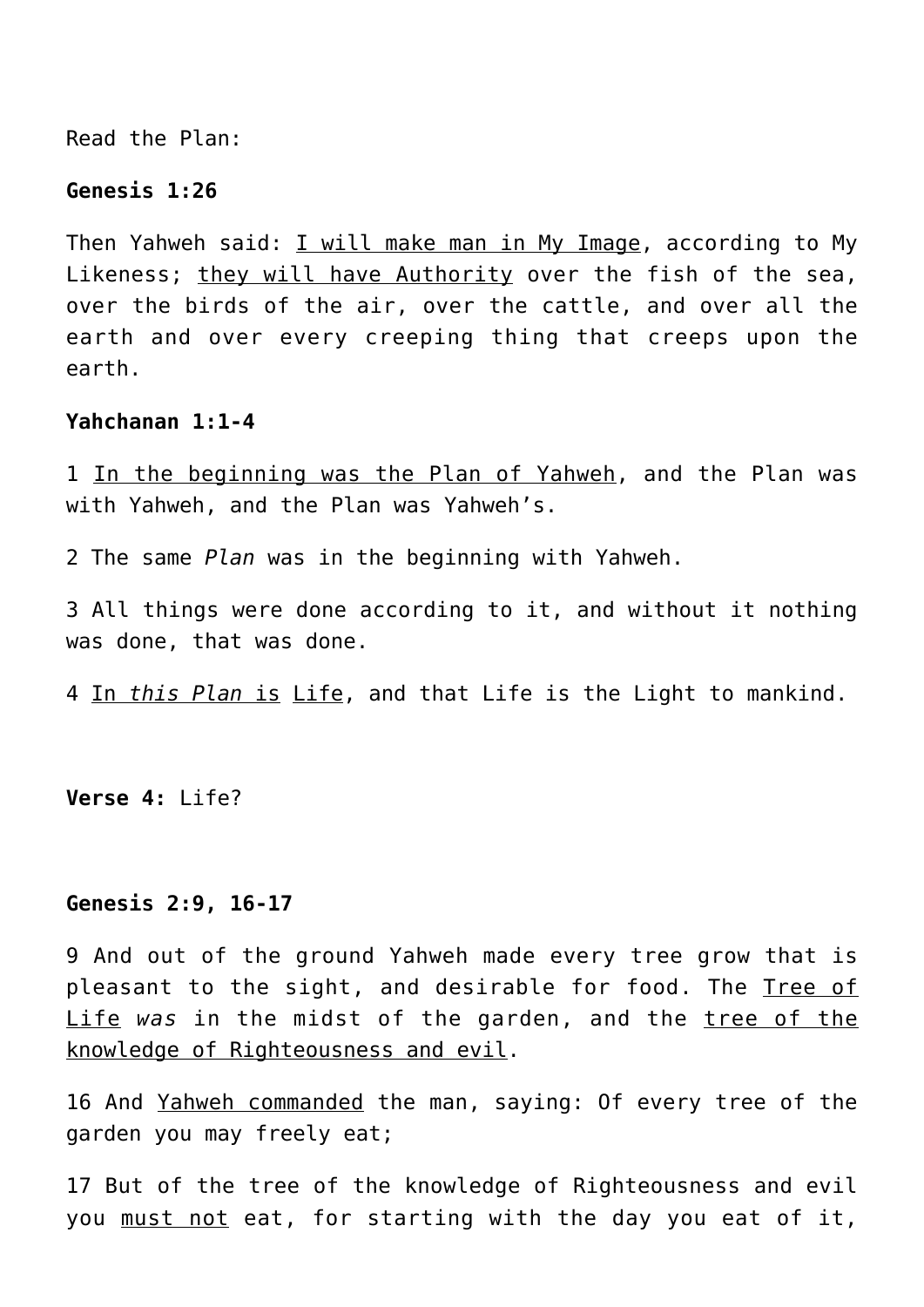Read the Plan:

#### **Genesis 1:26**

Then Yahweh said: I will make man in My Image, according to My Likeness; they will have Authority over the fish of the sea, over the birds of the air, over the cattle, and over all the earth and over every creeping thing that creeps upon the earth.

#### **Yahchanan 1:1-4**

1 In the beginning was the Plan of Yahweh, and the Plan was with Yahweh, and the Plan was Yahweh's.

2 The same *Plan* was in the beginning with Yahweh.

3 All things were done according to it, and without it nothing was done, that was done.

4 In *this Plan* is Life, and that Life is the Light to mankind.

**Verse 4:** Life?

#### **Genesis 2:9, 16-17**

9 And out of the ground Yahweh made every tree grow that is pleasant to the sight, and desirable for food. The Tree of Life *was* in the midst of the garden, and the tree of the knowledge of Righteousness and evil.

16 And Yahweh commanded the man, saying: Of every tree of the garden you may freely eat;

17 But of the tree of the knowledge of Righteousness and evil you must not eat, for starting with the day you eat of it,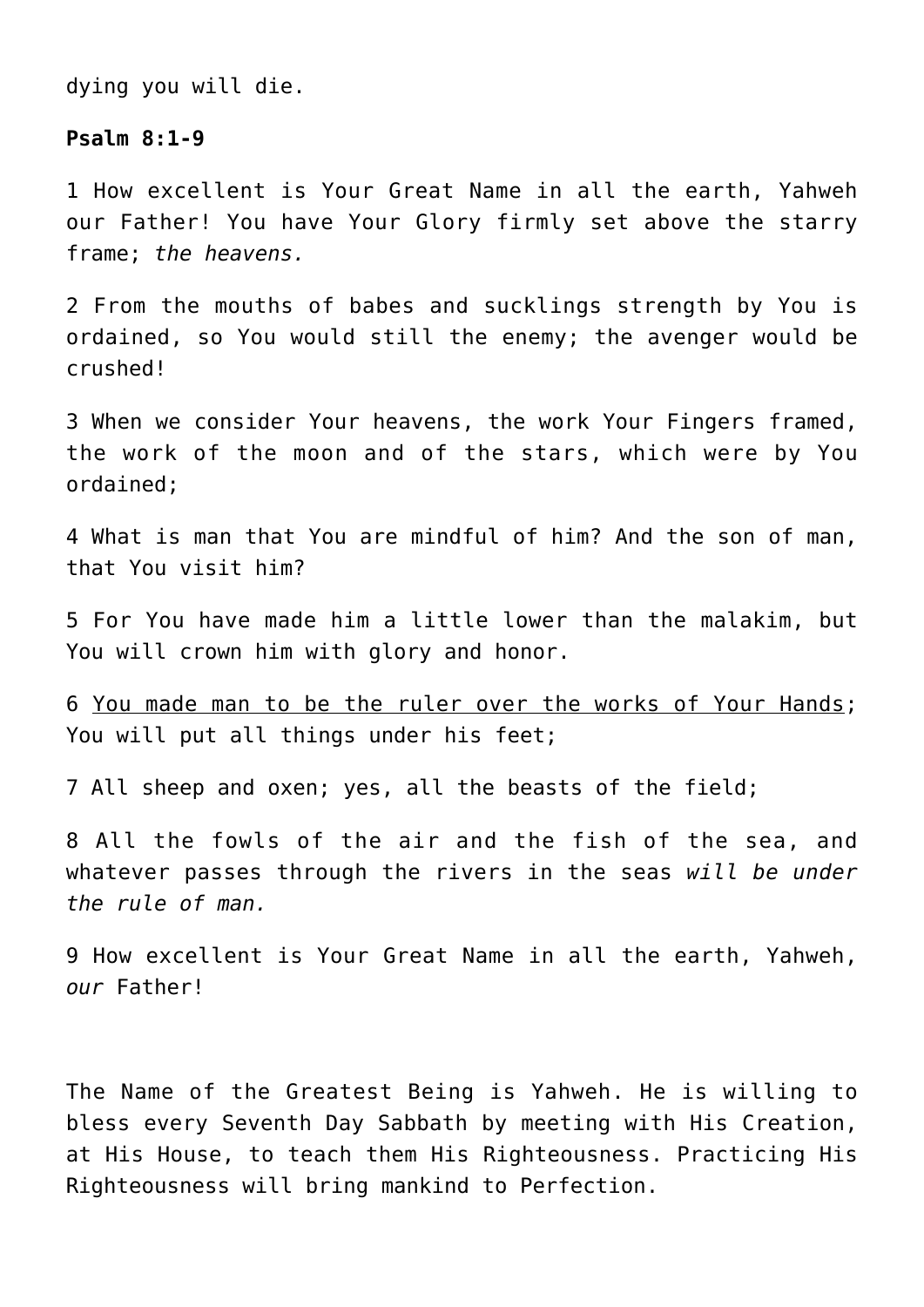dying you will die.

#### **Psalm 8:1-9**

1 How excellent is Your Great Name in all the earth, Yahweh our Father! You have Your Glory firmly set above the starry frame; *the heavens.*

2 From the mouths of babes and sucklings strength by You is ordained, so You would still the enemy; the avenger would be crushed!

3 When we consider Your heavens, the work Your Fingers framed, the work of the moon and of the stars, which were by You ordained;

4 What is man that You are mindful of him? And the son of man, that You visit him?

5 For You have made him a little lower than the malakim, but You will crown him with glory and honor.

6 You made man to be the ruler over the works of Your Hands; You will put all things under his feet;

7 All sheep and oxen; yes, all the beasts of the field;

8 All the fowls of the air and the fish of the sea, and whatever passes through the rivers in the seas *will be under the rule of man.*

9 How excellent is Your Great Name in all the earth, Yahweh, *our* Father!

The Name of the Greatest Being is Yahweh. He is willing to bless every Seventh Day Sabbath by meeting with His Creation, at His House, to teach them His Righteousness. Practicing His Righteousness will bring mankind to Perfection.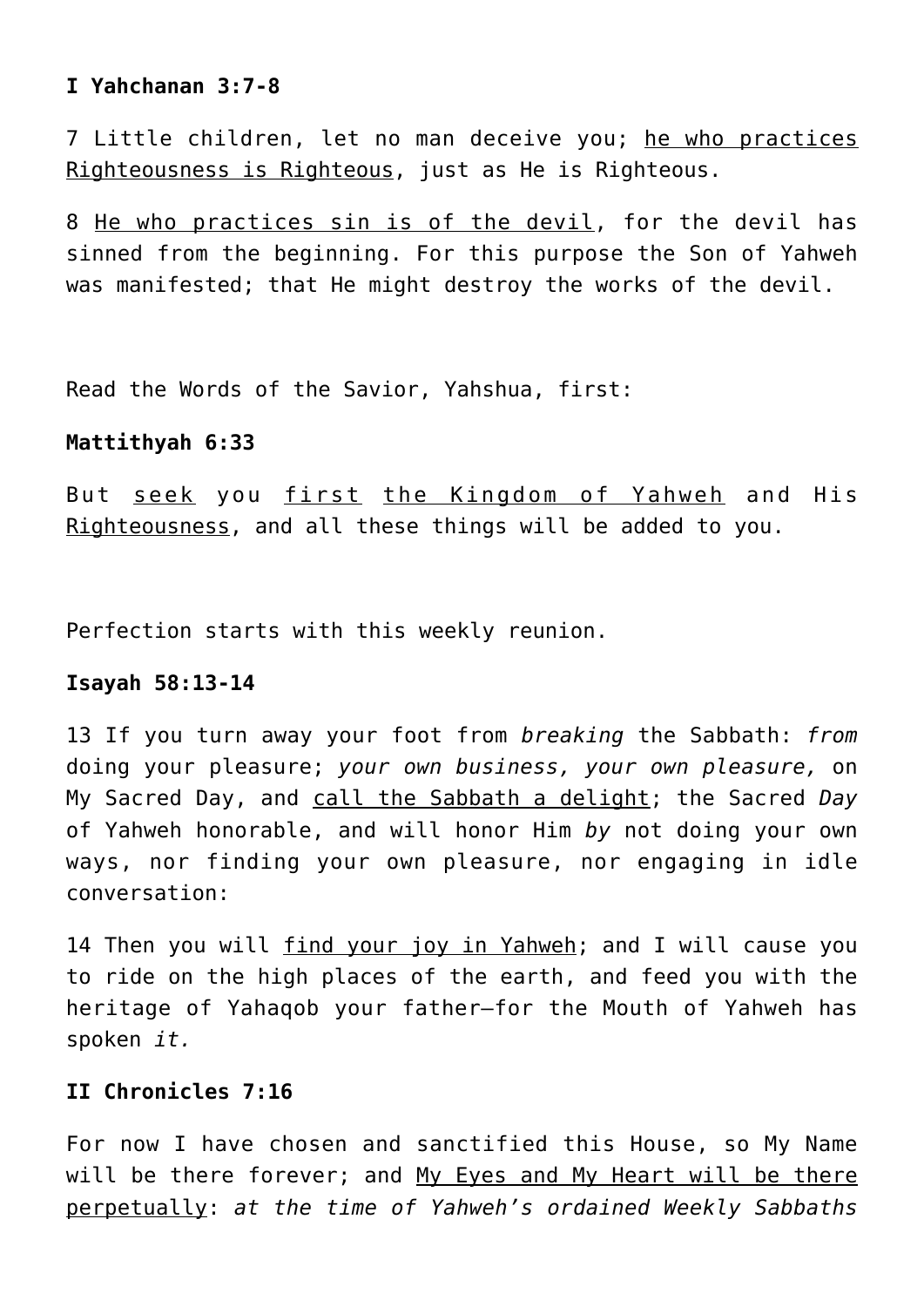# **I Yahchanan 3:7-8**

7 Little children, let no man deceive you; he who practices Righteousness is Righteous, just as He is Righteous.

8 He who practices sin is of the devil, for the devil has sinned from the beginning. For this purpose the Son of Yahweh was manifested; that He might destroy the works of the devil.

Read the Words of the Savior, Yahshua, first:

## **Mattithyah 6:33**

But seek you first the Kingdom of Yahweh and His Righteousness, and all these things will be added to you.

Perfection starts with this weekly reunion.

# **Isayah 58:13-14**

13 If you turn away your foot from *breaking* the Sabbath: *from* doing your pleasure; *your own business, your own pleasure,* on My Sacred Day, and call the Sabbath a delight; the Sacred *Day* of Yahweh honorable, and will honor Him *by* not doing your own ways, nor finding your own pleasure, nor engaging in idle conversation:

14 Then you will find your joy in Yahweh; and I will cause you to ride on the high places of the earth, and feed you with the heritage of Yahaqob your father—for the Mouth of Yahweh has spoken *it.*

# **II Chronicles 7:16**

For now I have chosen and sanctified this House, so My Name will be there forever; and My Eyes and My Heart will be there perpetually: *at the time of Yahweh's ordained Weekly Sabbaths*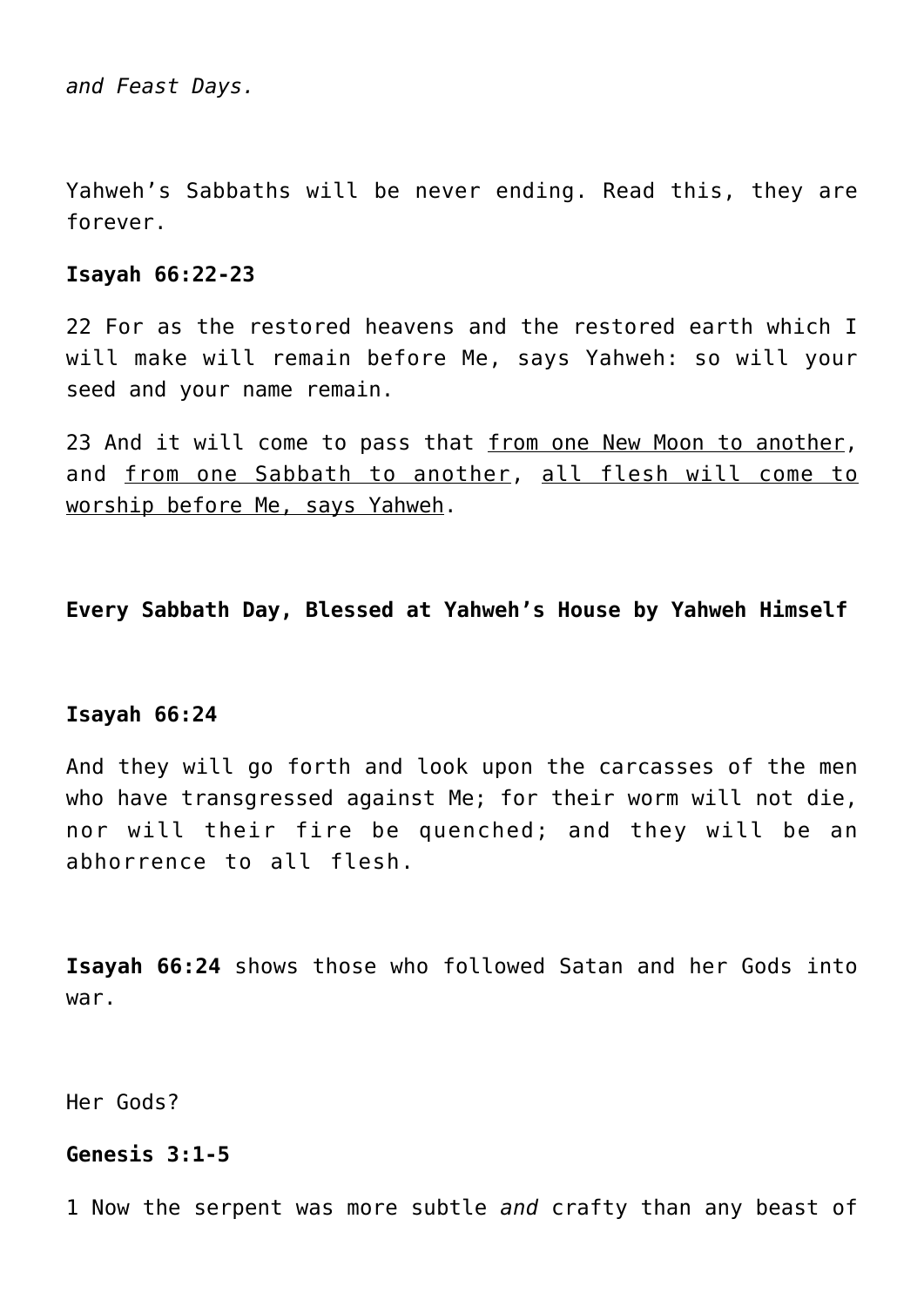*and Feast Days.*

Yahweh's Sabbaths will be never ending. Read this, they are forever.

#### **Isayah 66:22-23**

22 For as the restored heavens and the restored earth which I will make will remain before Me, says Yahweh: so will your seed and your name remain.

23 And it will come to pass that from one New Moon to another, and from one Sabbath to another, all flesh will come to worship before Me, says Yahweh.

**Every Sabbath Day, Blessed at Yahweh's House by Yahweh Himself**

#### **Isayah 66:24**

And they will go forth and look upon the carcasses of the men who have transgressed against Me; for their worm will not die, nor will their fire be quenched; and they will be an abhorrence to all flesh.

**Isayah 66:24** shows those who followed Satan and her Gods into war.

Her Gods?

# **Genesis 3:1-5**

1 Now the serpent was more subtle *and* crafty than any beast of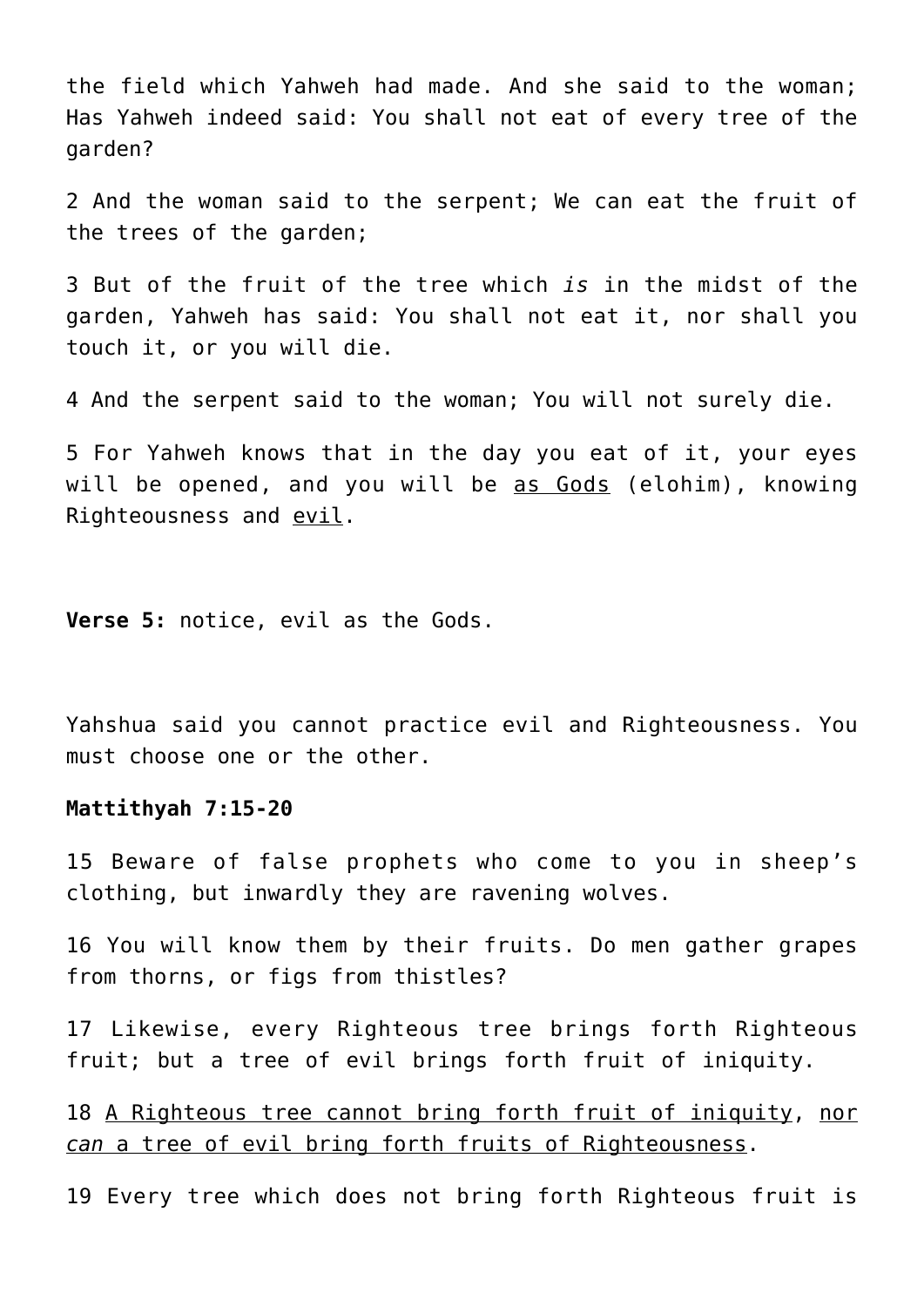the field which Yahweh had made. And she said to the woman; Has Yahweh indeed said: You shall not eat of every tree of the garden?

2 And the woman said to the serpent; We can eat the fruit of the trees of the garden;

3 But of the fruit of the tree which *is* in the midst of the garden, Yahweh has said: You shall not eat it, nor shall you touch it, or you will die.

4 And the serpent said to the woman; You will not surely die.

5 For Yahweh knows that in the day you eat of it, your eyes will be opened, and you will be as Gods (elohim), knowing Righteousness and evil.

**Verse 5:** notice, evil as the Gods.

Yahshua said you cannot practice evil and Righteousness. You must choose one or the other.

#### **Mattithyah 7:15-20**

15 Beware of false prophets who come to you in sheep's clothing, but inwardly they are ravening wolves.

16 You will know them by their fruits. Do men gather grapes from thorns, or figs from thistles?

17 Likewise, every Righteous tree brings forth Righteous fruit; but a tree of evil brings forth fruit of iniquity.

18 A Righteous tree cannot bring forth fruit of iniquity, nor *can* a tree of evil bring forth fruits of Righteousness.

19 Every tree which does not bring forth Righteous fruit is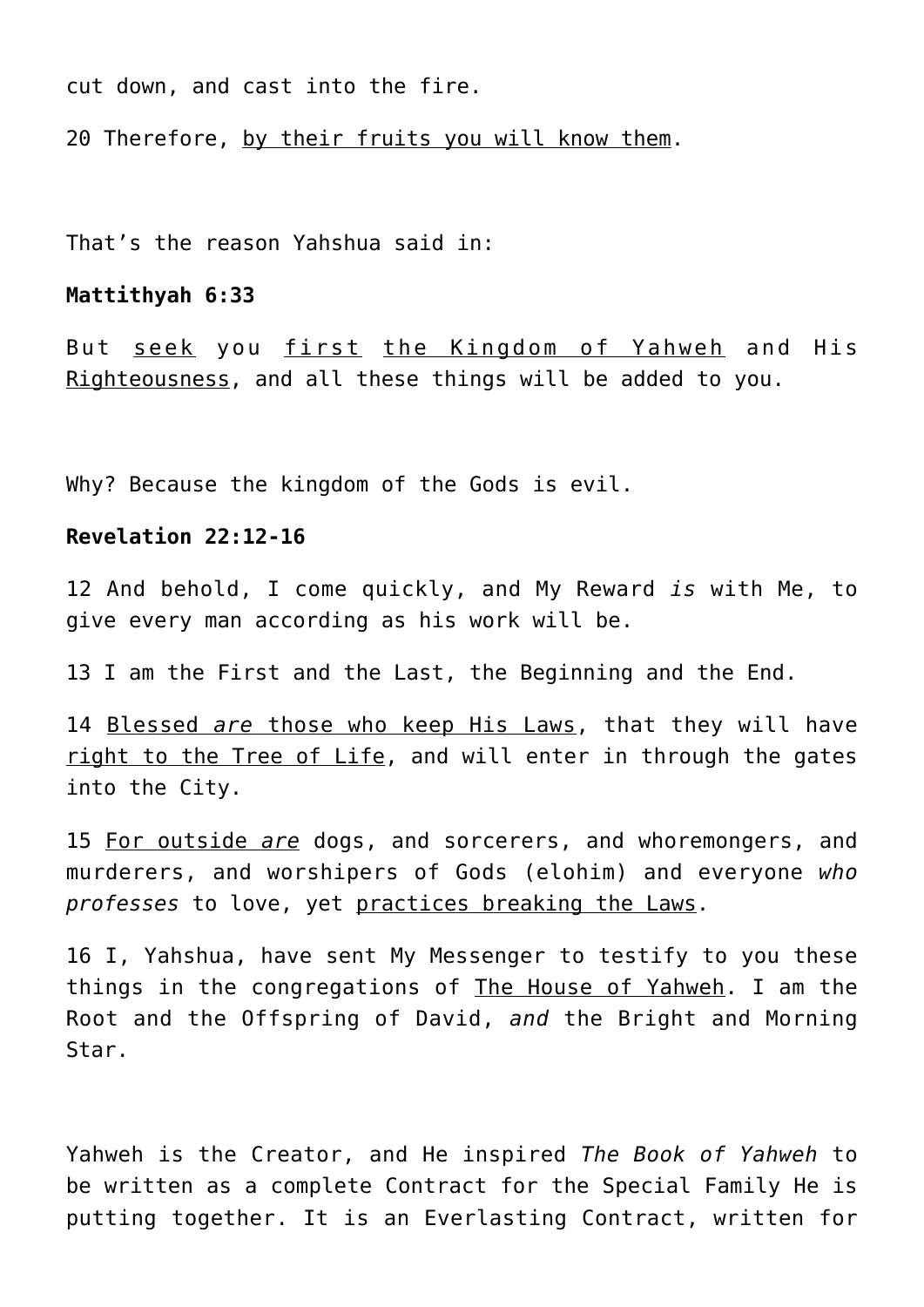cut down, and cast into the fire.

20 Therefore, by their fruits you will know them.

That's the reason Yahshua said in:

#### **Mattithyah 6:33**

But seek you first the Kingdom of Yahweh and His Righteousness, and all these things will be added to you.

Why? Because the kingdom of the Gods is evil.

## **Revelation 22:12-16**

12 And behold, I come quickly, and My Reward *is* with Me, to give every man according as his work will be.

13 I am the First and the Last, the Beginning and the End.

14 Blessed *are* those who keep His Laws, that they will have right to the Tree of Life, and will enter in through the gates into the City.

15 For outside *are* dogs, and sorcerers, and whoremongers, and murderers, and worshipers of Gods (elohim) and everyone *who professes* to love, yet practices breaking the Laws.

16 I, Yahshua, have sent My Messenger to testify to you these things in the congregations of The House of Yahweh. I am the Root and the Offspring of David, *and* the Bright and Morning Star.

Yahweh is the Creator, and He inspired *The Book of Yahweh* to be written as a complete Contract for the Special Family He is putting together. It is an Everlasting Contract, written for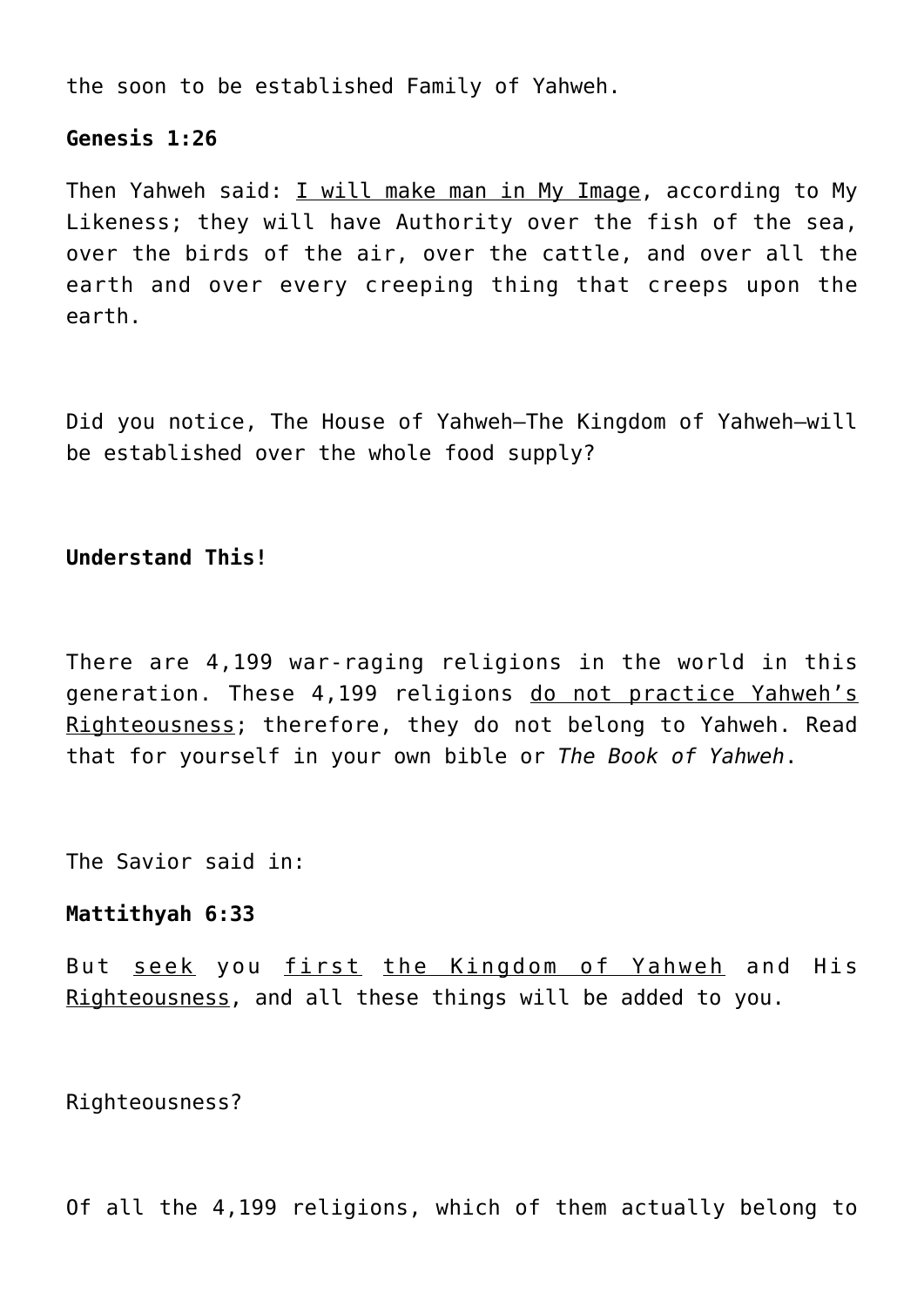the soon to be established Family of Yahweh.

## **Genesis 1:26**

Then Yahweh said: I will make man in My Image, according to My Likeness; they will have Authority over the fish of the sea, over the birds of the air, over the cattle, and over all the earth and over every creeping thing that creeps upon the earth.

Did you notice, The House of Yahweh—The Kingdom of Yahweh—will be established over the whole food supply?

# **Understand This!**

There are 4,199 war-raging religions in the world in this generation. These 4,199 religions do not practice Yahweh's Righteousness; therefore, they do not belong to Yahweh. Read that for yourself in your own bible or *The Book of Yahweh*.

The Savior said in:

# **Mattithyah 6:33**

But seek you first the Kingdom of Yahweh and His Righteousness, and all these things will be added to you.

Righteousness?

Of all the 4,199 religions, which of them actually belong to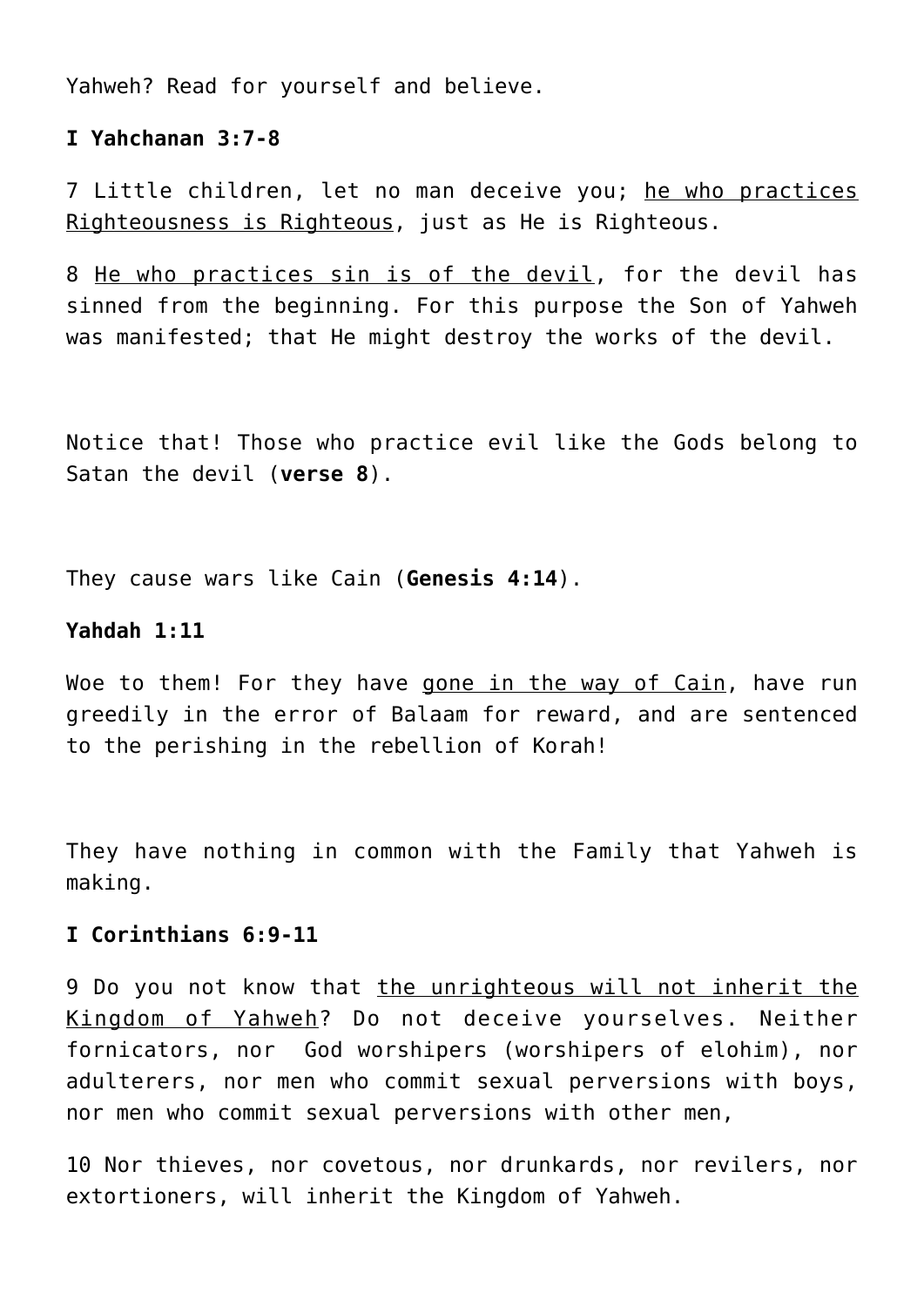Yahweh? Read for yourself and believe.

## **I Yahchanan 3:7-8**

7 Little children, let no man deceive you; he who practices Righteousness is Righteous, just as He is Righteous.

8 He who practices sin is of the devil, for the devil has sinned from the beginning. For this purpose the Son of Yahweh was manifested; that He might destroy the works of the devil.

Notice that! Those who practice evil like the Gods belong to Satan the devil (**verse 8**).

They cause wars like Cain (**Genesis 4:14**).

## **Yahdah 1:11**

Woe to them! For they have gone in the way of Cain, have run greedily in the error of Balaam for reward, and are sentenced to the perishing in the rebellion of Korah!

They have nothing in common with the Family that Yahweh is making.

# **I Corinthians 6:9-11**

9 Do you not know that the unrighteous will not inherit the Kingdom of Yahweh? Do not deceive yourselves. Neither fornicators, nor God worshipers (worshipers of elohim), nor adulterers, nor men who commit sexual perversions with boys, nor men who commit sexual perversions with other men,

10 Nor thieves, nor covetous, nor drunkards, nor revilers, nor extortioners, will inherit the Kingdom of Yahweh.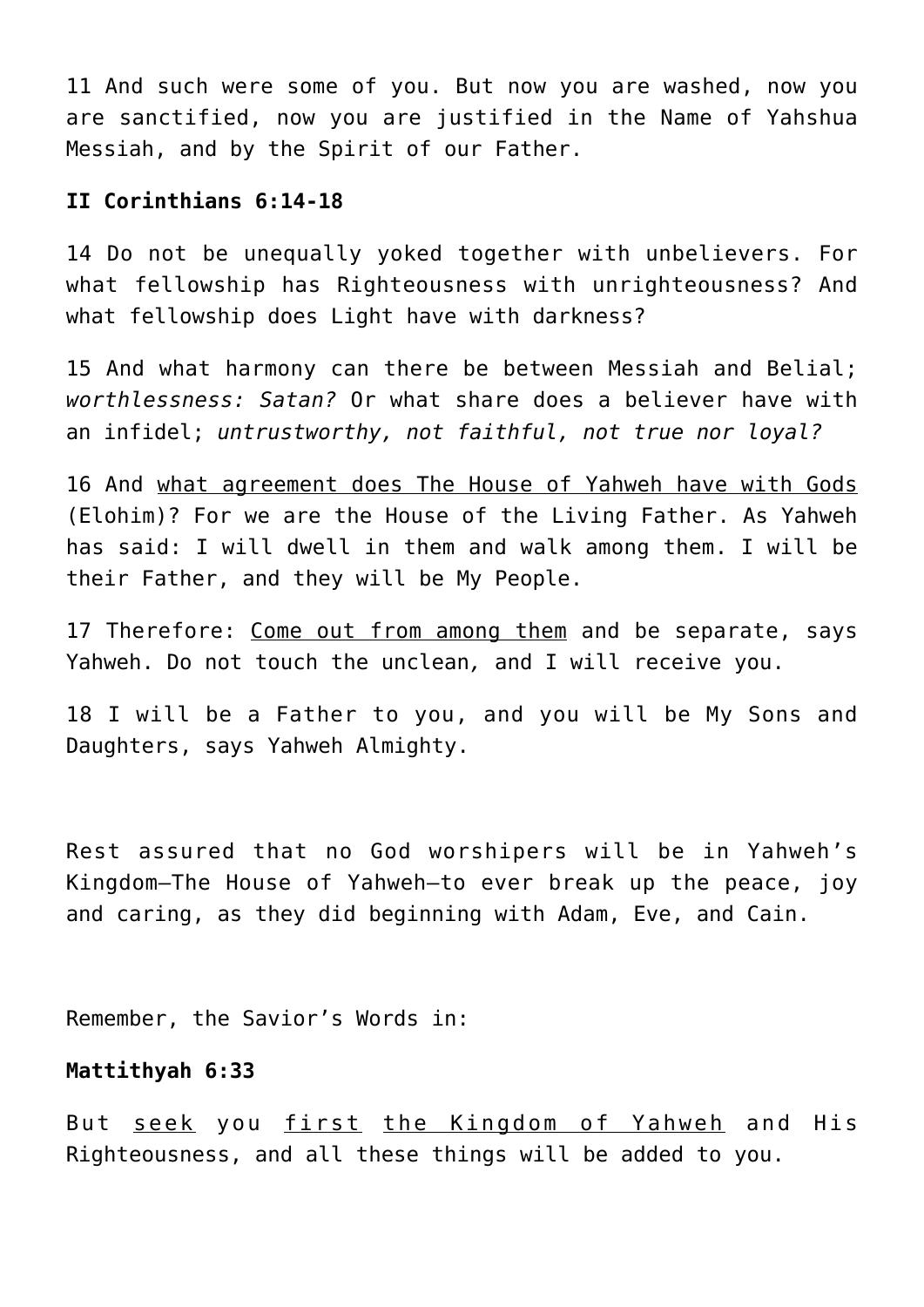11 And such were some of you. But now you are washed, now you are sanctified, now you are justified in the Name of Yahshua Messiah, and by the Spirit of our Father.

## **II Corinthians 6:14-18**

14 Do not be unequally yoked together with unbelievers. For what fellowship has Righteousness with unrighteousness? And what fellowship does Light have with darkness?

15 And what harmony can there be between Messiah and Belial; *worthlessness: Satan?* Or what share does a believer have with an infidel; *untrustworthy, not faithful, not true nor loyal?*

16 And what agreement does The House of Yahweh have with Gods (Elohim)? For we are the House of the Living Father. As Yahweh has said: I will dwell in them and walk among them. I will be their Father, and they will be My People.

17 Therefore: Come out from among them and be separate, says Yahweh. Do not touch the unclean*,* and I will receive you.

18 I will be a Father to you, and you will be My Sons and Daughters, says Yahweh Almighty.

Rest assured that no God worshipers will be in Yahweh's Kingdom—The House of Yahweh—to ever break up the peace, joy and caring, as they did beginning with Adam, Eve, and Cain.

Remember, the Savior's Words in:

# **Mattithyah 6:33**

But seek you first the Kingdom of Yahweh and His Righteousness, and all these things will be added to you.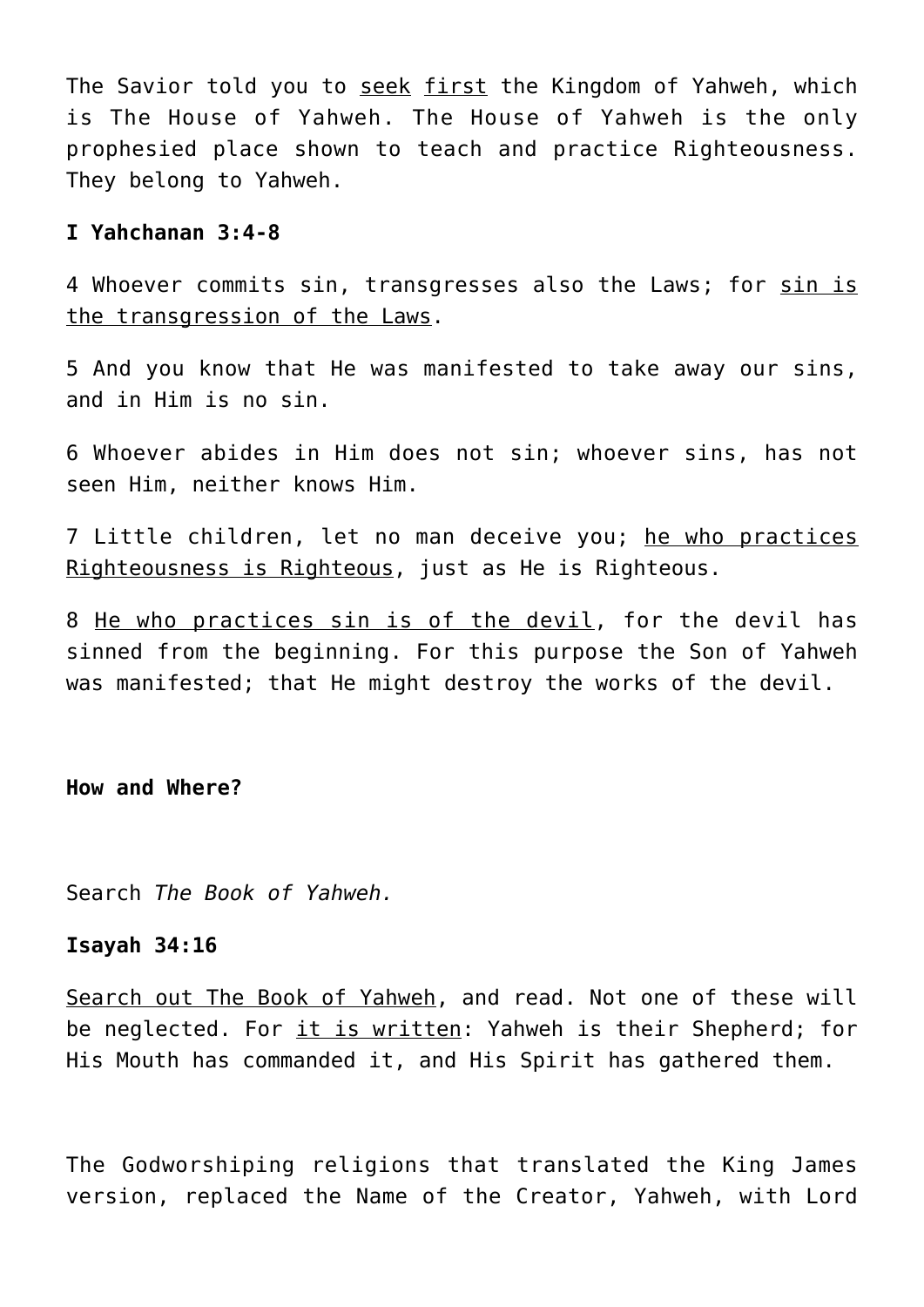The Savior told you to seek first the Kingdom of Yahweh, which is The House of Yahweh. The House of Yahweh is the only prophesied place shown to teach and practice Righteousness. They belong to Yahweh.

#### **I Yahchanan 3:4-8**

4 Whoever commits sin, transgresses also the Laws; for sin is the transgression of the Laws.

5 And you know that He was manifested to take away our sins, and in Him is no sin.

6 Whoever abides in Him does not sin; whoever sins, has not seen Him, neither knows Him.

7 Little children, let no man deceive you; he who practices Righteousness is Righteous, just as He is Righteous.

8 He who practices sin is of the devil, for the devil has sinned from the beginning. For this purpose the Son of Yahweh was manifested; that He might destroy the works of the devil.

**How and Where?**

Search *The Book of Yahweh.*

#### **Isayah 34:16**

Search out The Book of Yahweh, and read. Not one of these will be neglected. For it is written: Yahweh is their Shepherd; for His Mouth has commanded it, and His Spirit has gathered them.

The Godworshiping religions that translated the King James version, replaced the Name of the Creator, Yahweh, with Lord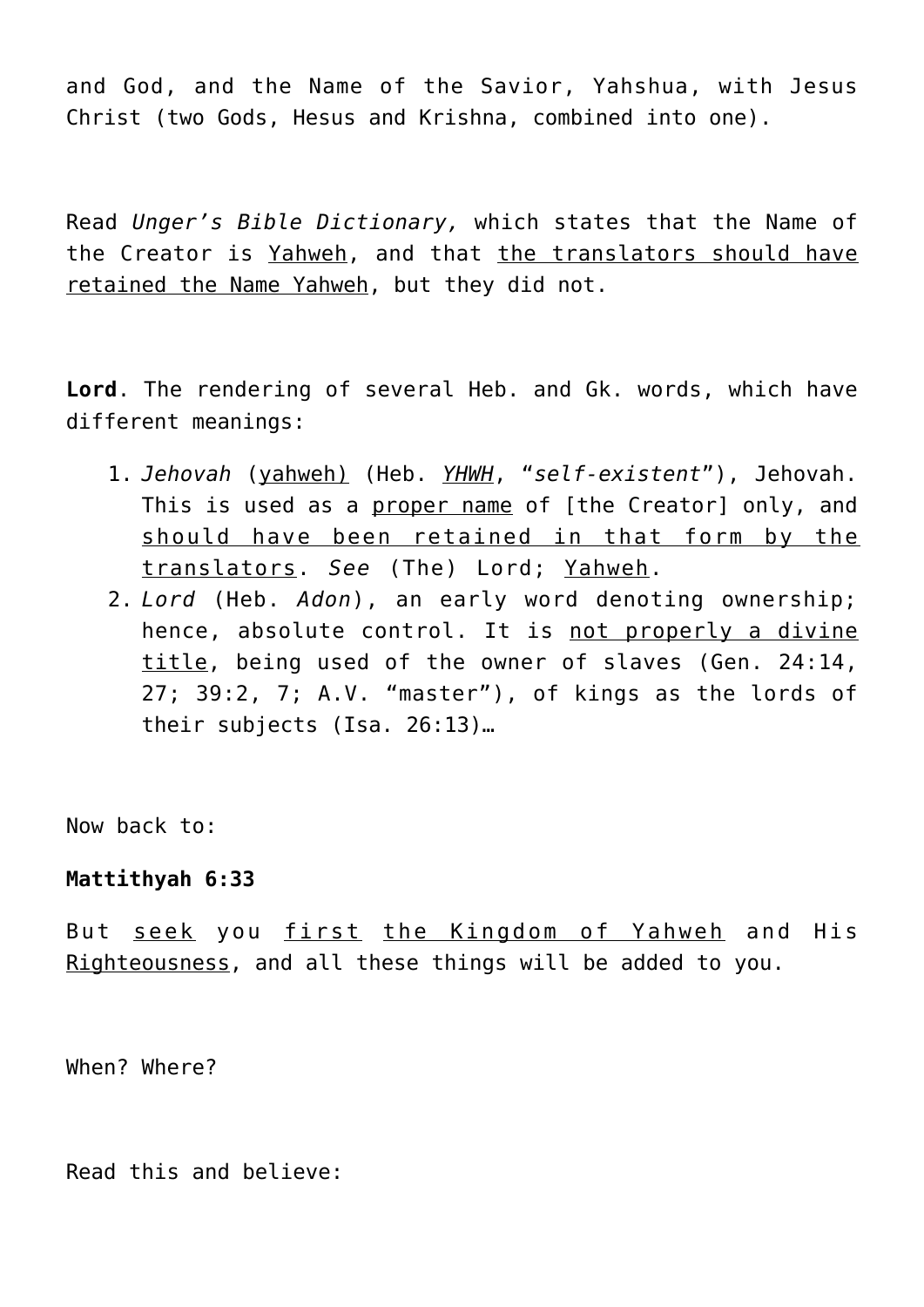and God, and the Name of the Savior, Yahshua, with Jesus Christ (two Gods, Hesus and Krishna, combined into one).

Read *Unger's Bible Dictionary,* which states that the Name of the Creator is Yahweh, and that the translators should have retained the Name Yahweh, but they did not.

**Lord**. The rendering of several Heb. and Gk. words, which have different meanings:

- 1. *Jehovah* (yahweh) (Heb. *YHWH*, "*self-existent*"), Jehovah. This is used as a proper name of [the Creator] only, and should have been retained in that form by the translators. *See* (The) Lord; Yahweh.
- 2. *Lord* (Heb. *Adon*), an early word denoting ownership; hence, absolute control. It is not properly a divine title, being used of the owner of slaves (Gen. 24:14, 27; 39:2, 7; A.V. "master"), of kings as the lords of their subjects (Isa. 26:13)…

Now back to:

### **Mattithyah 6:33**

But seek you first the Kingdom of Yahweh and His Righteousness, and all these things will be added to you.

When? Where?

Read this and believe: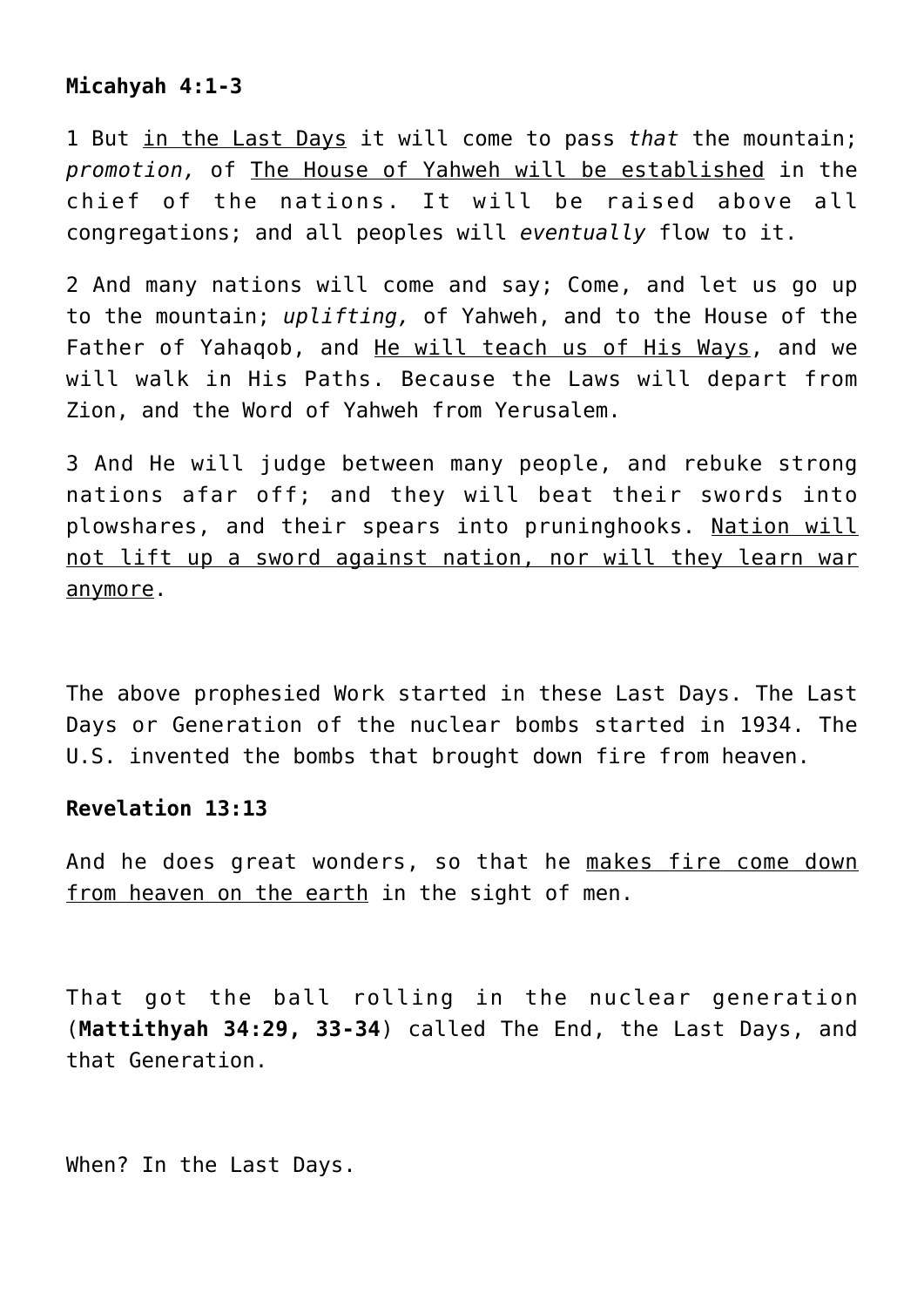# **Micahyah 4:1-3**

1 But in the Last Days it will come to pass *that* the mountain; *promotion,* of The House of Yahweh will be established in the chief of the nations. It will be raised above all congregations; and all peoples will *eventually* flow to it.

2 And many nations will come and say; Come, and let us go up to the mountain; *uplifting,* of Yahweh, and to the House of the Father of Yahaqob, and He will teach us of His Ways, and we will walk in His Paths. Because the Laws will depart from Zion, and the Word of Yahweh from Yerusalem.

3 And He will judge between many people, and rebuke strong nations afar off; and they will beat their swords into plowshares, and their spears into pruninghooks. Nation will not lift up a sword against nation, nor will they learn war anymore.

The above prophesied Work started in these Last Days. The Last Days or Generation of the nuclear bombs started in 1934. The U.S. invented the bombs that brought down fire from heaven.

# **Revelation 13:13**

And he does great wonders, so that he makes fire come down from heaven on the earth in the sight of men.

That got the ball rolling in the nuclear generation (**Mattithyah 34:29, 33-34**) called The End, the Last Days, and that Generation.

When? In the Last Days.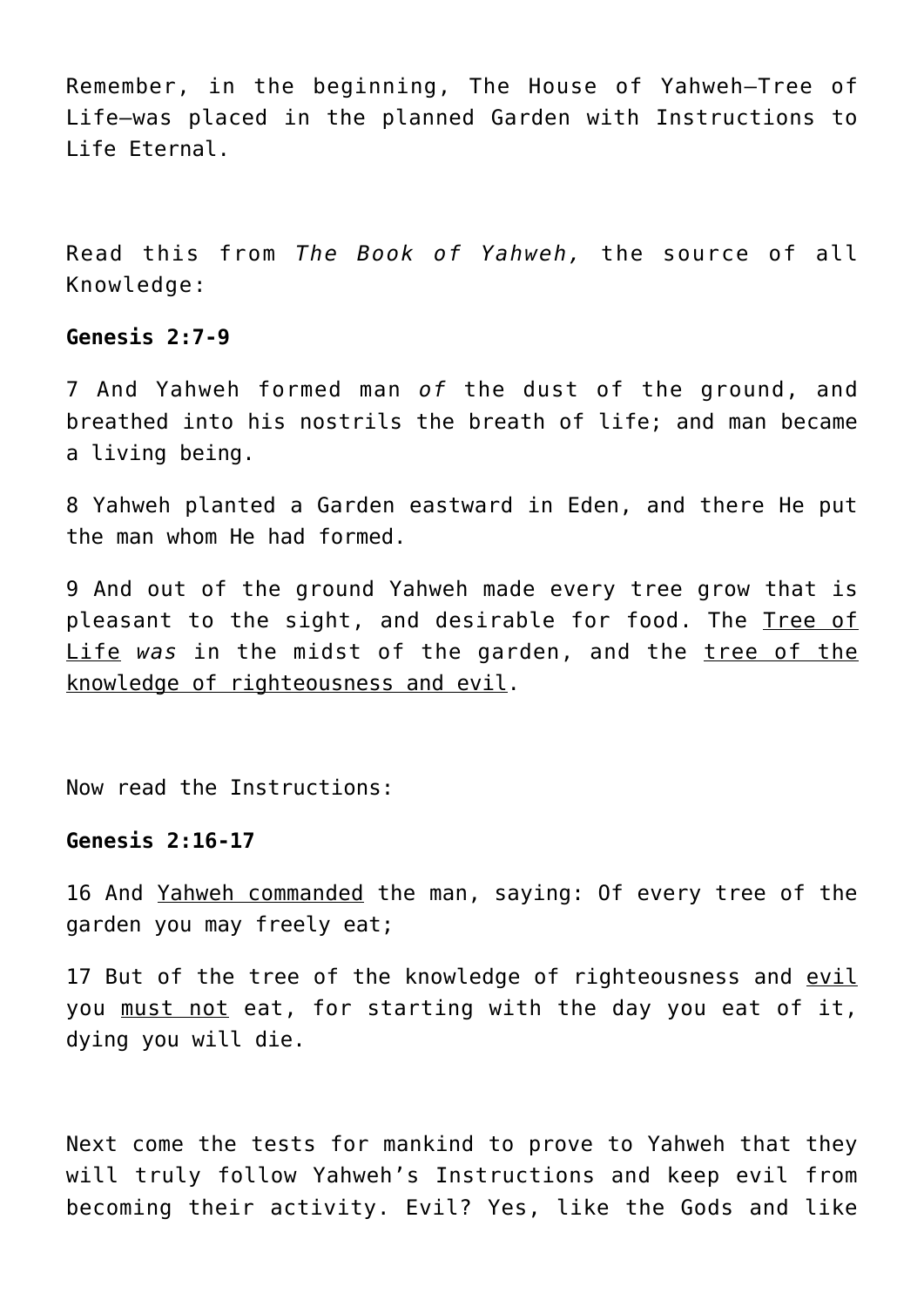Remember, in the beginning, The House of Yahweh—Tree of Life—was placed in the planned Garden with Instructions to Life Eternal.

Read this from *The Book of Yahweh,* the source of all Knowledge:

## **Genesis 2:7-9**

7 And Yahweh formed man *of* the dust of the ground, and breathed into his nostrils the breath of life; and man became a living being.

8 Yahweh planted a Garden eastward in Eden, and there He put the man whom He had formed.

9 And out of the ground Yahweh made every tree grow that is pleasant to the sight, and desirable for food. The Tree of Life was in the midst of the garden, and the tree of the knowledge of righteousness and evil.

Now read the Instructions:

#### **Genesis 2:16-17**

16 And Yahweh commanded the man, saying: Of every tree of the garden you may freely eat;

17 But of the tree of the knowledge of righteousness and evil you must not eat, for starting with the day you eat of it, dying you will die.

Next come the tests for mankind to prove to Yahweh that they will truly follow Yahweh's Instructions and keep evil from becoming their activity. Evil? Yes, like the Gods and like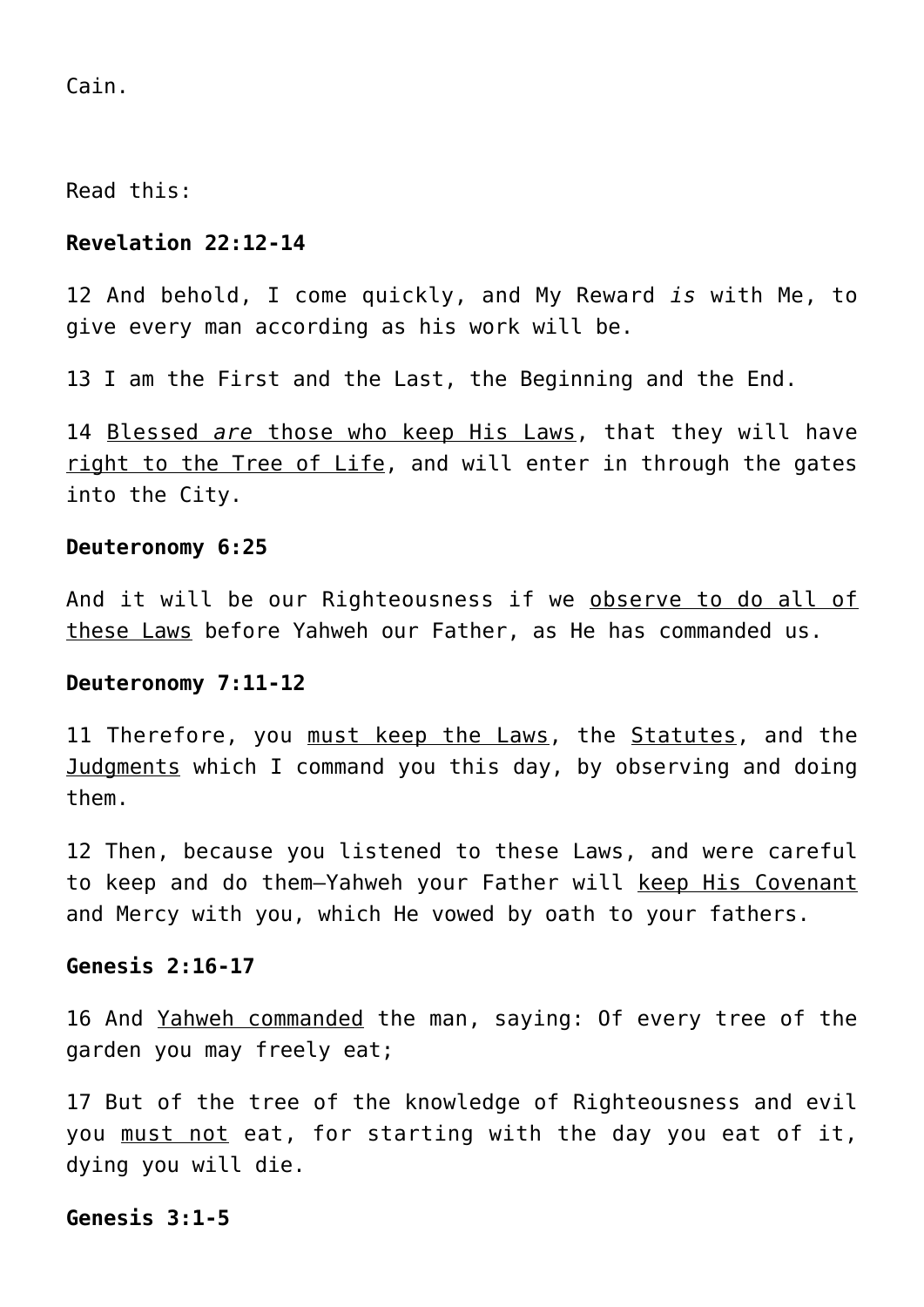Cain.

Read this:

## **Revelation 22:12-14**

12 And behold, I come quickly, and My Reward *is* with Me, to give every man according as his work will be.

13 I am the First and the Last, the Beginning and the End.

14 Blessed *are* those who keep His Laws, that they will have right to the Tree of Life, and will enter in through the gates into the City.

#### **Deuteronomy 6:25**

And it will be our Righteousness if we observe to do all of these Laws before Yahweh our Father, as He has commanded us.

#### **Deuteronomy 7:11-12**

11 Therefore, you must keep the Laws, the Statutes, and the Judgments which I command you this day, by observing and doing them.

12 Then, because you listened to these Laws, and were careful to keep and do them-Yahweh your Father will keep His Covenant and Mercy with you, which He vowed by oath to your fathers.

## **Genesis 2:16-17**

16 And Yahweh commanded the man, saying: Of every tree of the garden you may freely eat;

17 But of the tree of the knowledge of Righteousness and evil you must not eat, for starting with the day you eat of it, dying you will die.

#### **Genesis 3:1-5**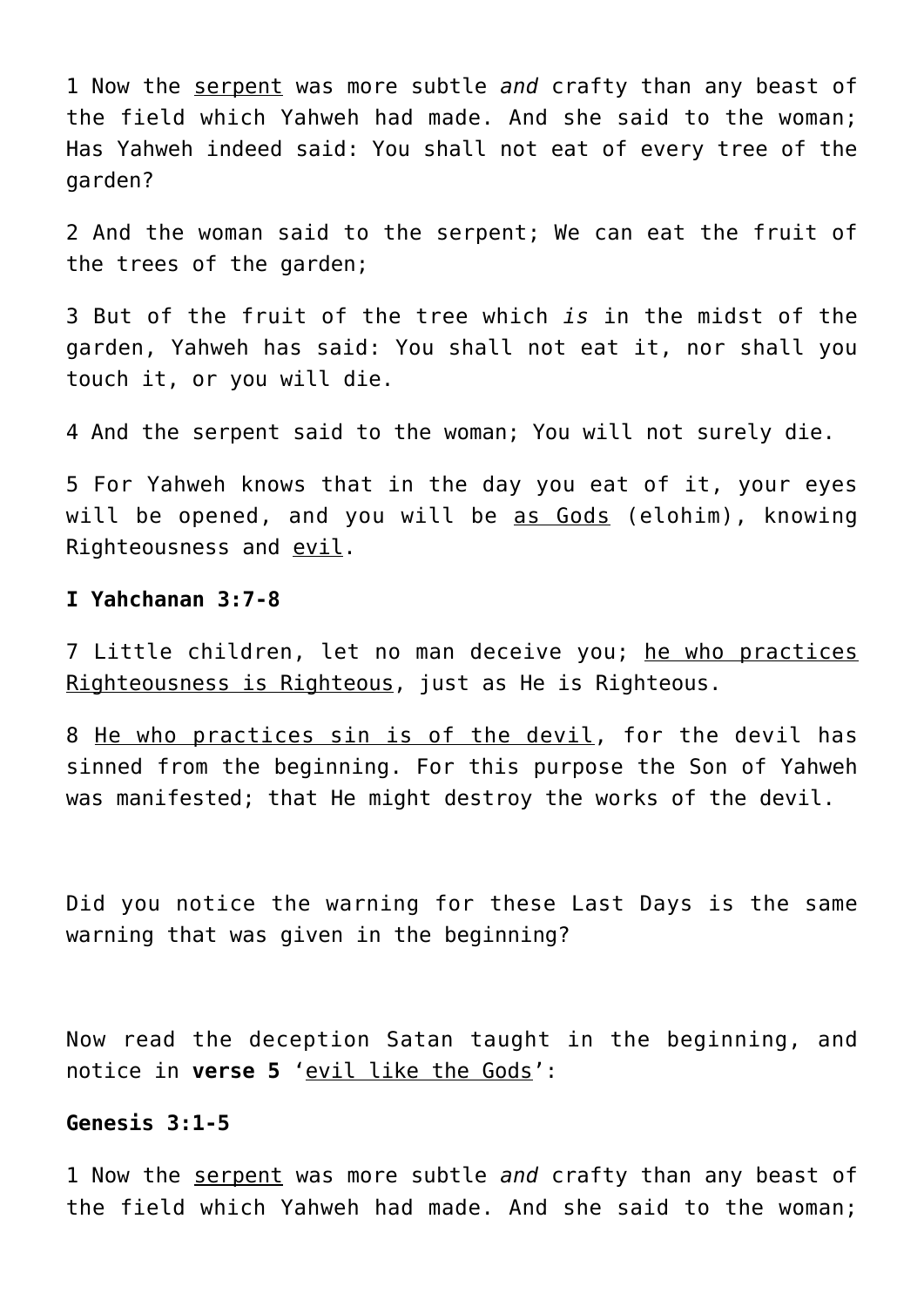1 Now the serpent was more subtle *and* crafty than any beast of the field which Yahweh had made. And she said to the woman; Has Yahweh indeed said: You shall not eat of every tree of the garden?

2 And the woman said to the serpent; We can eat the fruit of the trees of the garden;

3 But of the fruit of the tree which *is* in the midst of the garden, Yahweh has said: You shall not eat it, nor shall you touch it, or you will die.

4 And the serpent said to the woman; You will not surely die.

5 For Yahweh knows that in the day you eat of it, your eyes will be opened, and you will be as Gods (elohim), knowing Righteousness and evil.

## **I Yahchanan 3:7-8**

7 Little children, let no man deceive you; he who practices Righteousness is Righteous, just as He is Righteous.

8 He who practices sin is of the devil, for the devil has sinned from the beginning. For this purpose the Son of Yahweh was manifested; that He might destroy the works of the devil.

Did you notice the warning for these Last Days is the same warning that was given in the beginning?

Now read the deception Satan taught in the beginning, and notice in **verse 5** 'evil like the Gods':

## **Genesis 3:1-5**

1 Now the serpent was more subtle *and* crafty than any beast of the field which Yahweh had made. And she said to the woman;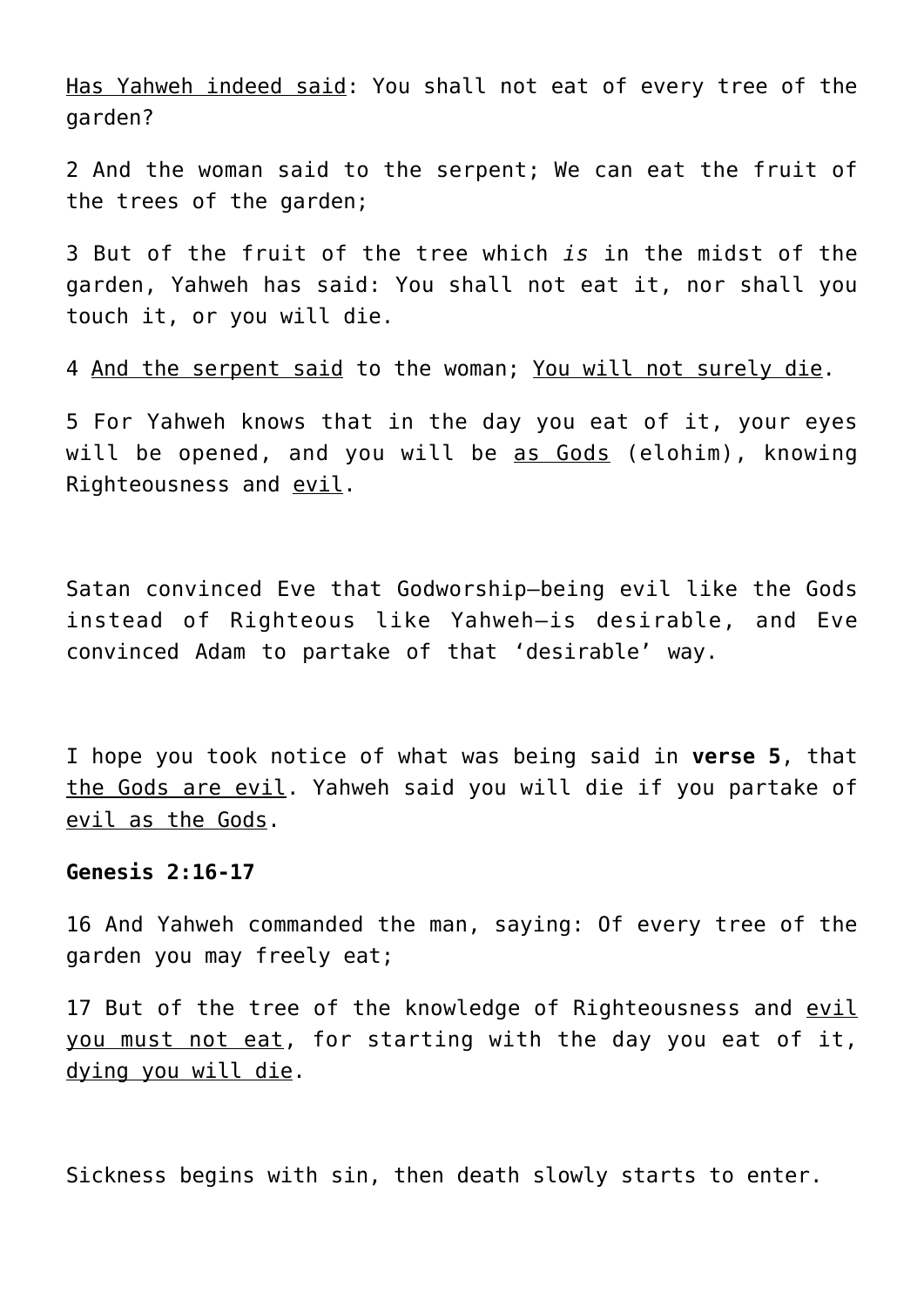Has Yahweh indeed said: You shall not eat of every tree of the garden?

2 And the woman said to the serpent; We can eat the fruit of the trees of the garden;

3 But of the fruit of the tree which *is* in the midst of the garden, Yahweh has said: You shall not eat it, nor shall you touch it, or you will die.

4 And the serpent said to the woman; You will not surely die.

5 For Yahweh knows that in the day you eat of it, your eyes will be opened, and you will be as Gods (elohim), knowing Righteousness and evil.

Satan convinced Eve that Godworship—being evil like the Gods instead of Righteous like Yahweh—is desirable, and Eve convinced Adam to partake of that 'desirable' way.

I hope you took notice of what was being said in **verse 5**, that the Gods are evil. Yahweh said you will die if you partake of evil as the Gods.

## **Genesis 2:16-17**

16 And Yahweh commanded the man, saying: Of every tree of the garden you may freely eat;

17 But of the tree of the knowledge of Righteousness and evil you must not eat, for starting with the day you eat of it, dying you will die.

Sickness begins with sin, then death slowly starts to enter.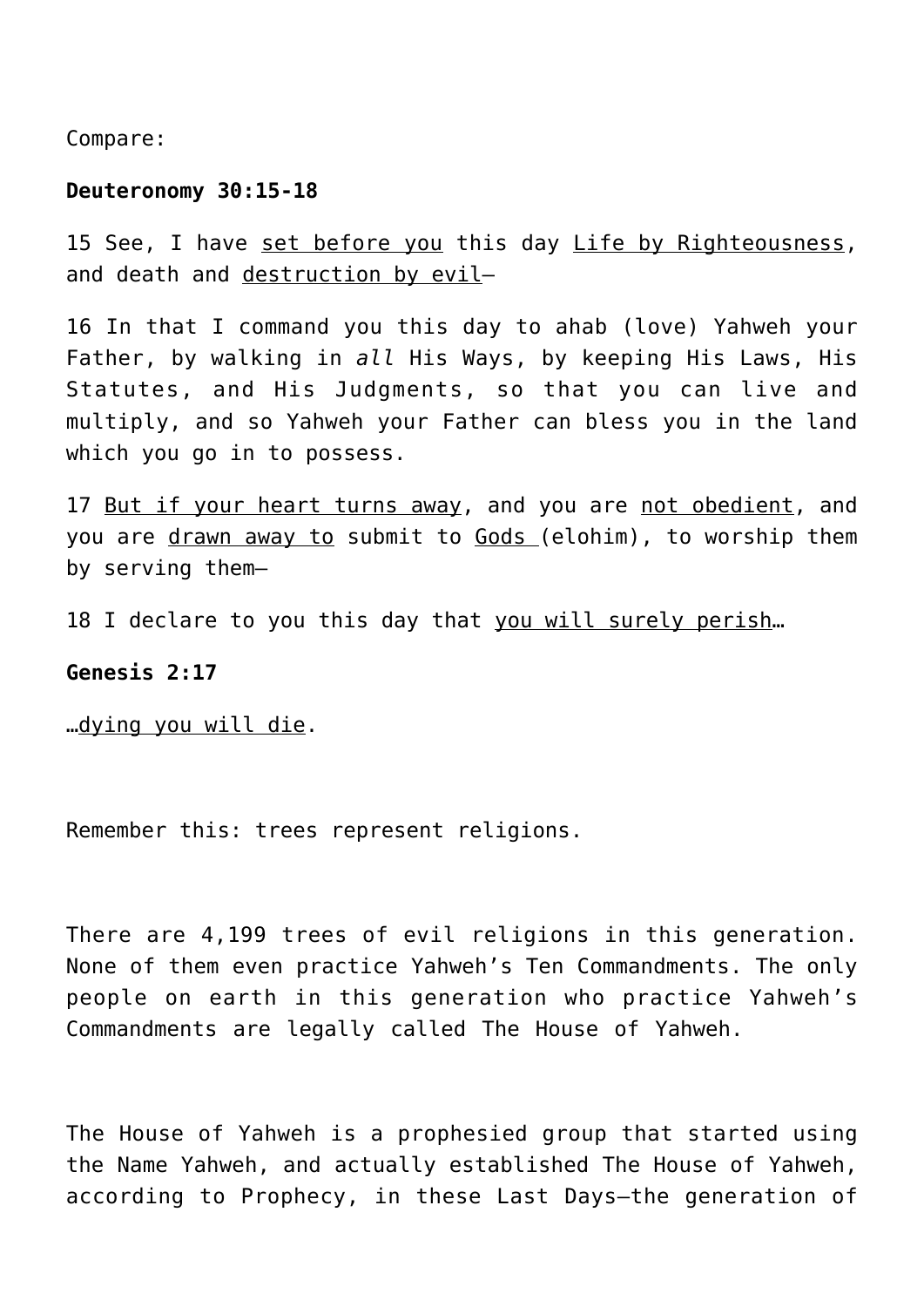Compare:

#### **Deuteronomy 30:15-18**

15 See, I have set before you this day Life by Righteousness, and death and destruction by evil-

16 In that I command you this day to ahab (love) Yahweh your Father, by walking in *all* His Ways, by keeping His Laws, His Statutes, and His Judgments, so that you can live and multiply, and so Yahweh your Father can bless you in the land which you go in to possess.

17 But if your heart turns away, and you are not obedient, and you are drawn away to submit to Gods (elohim), to worship them by serving them—

18 I declare to you this day that you will surely perish…

## **Genesis 2:17**

…dying you will die.

Remember this: trees represent religions.

There are 4,199 trees of evil religions in this generation. None of them even practice Yahweh's Ten Commandments. The only people on earth in this generation who practice Yahweh's Commandments are legally called The House of Yahweh.

The House of Yahweh is a prophesied group that started using the Name Yahweh, and actually established The House of Yahweh, according to Prophecy, in these Last Days—the generation of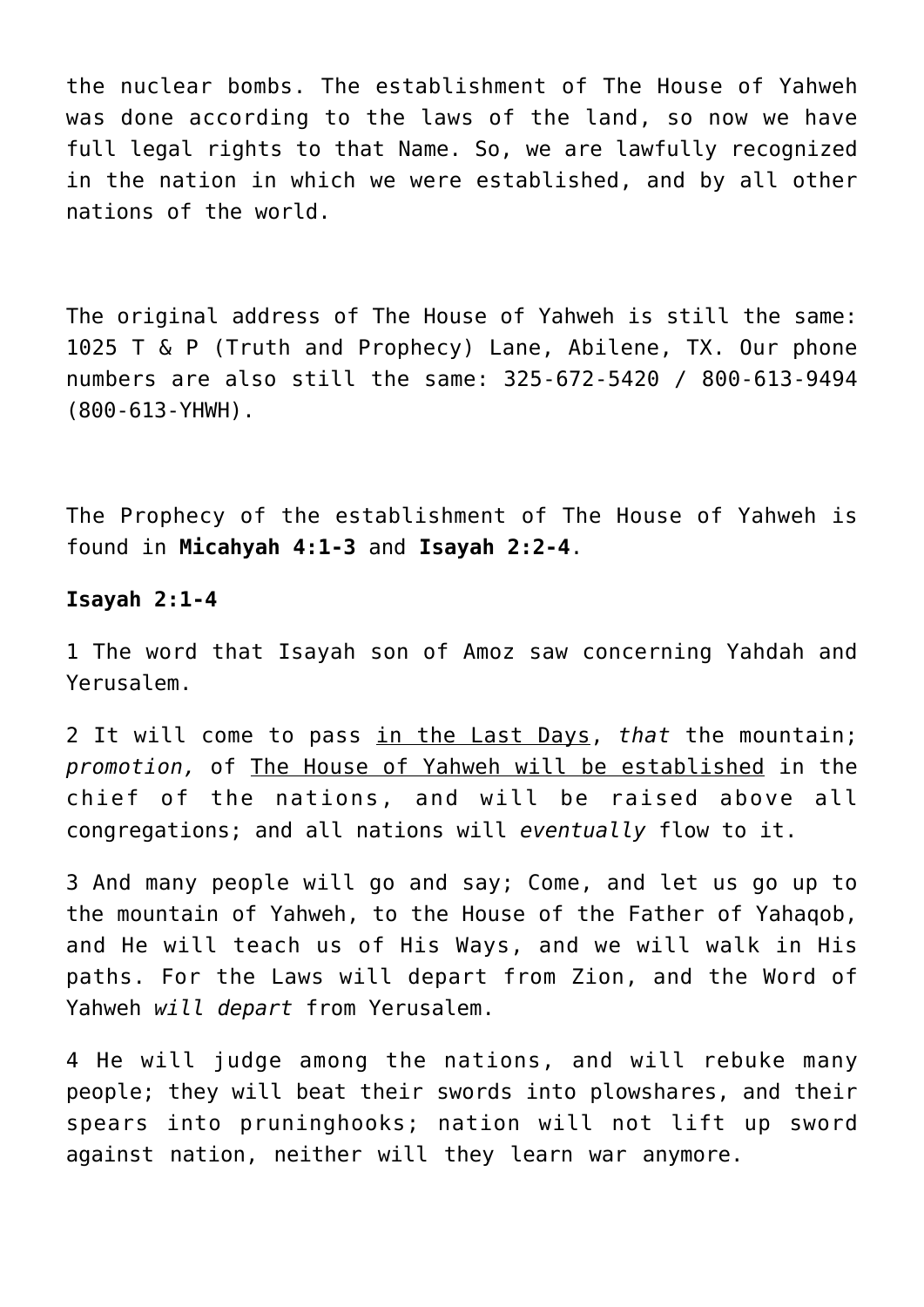the nuclear bombs. The establishment of The House of Yahweh was done according to the laws of the land, so now we have full legal rights to that Name. So, we are lawfully recognized in the nation in which we were established, and by all other nations of the world.

The original address of The House of Yahweh is still the same: 1025 T & P (Truth and Prophecy) Lane, Abilene, TX. Our phone numbers are also still the same: 325-672-5420 / 800-613-9494 (800-613-YHWH).

The Prophecy of the establishment of The House of Yahweh is found in **Micahyah 4:1-3** and **Isayah 2:2-4**.

#### **Isayah 2:1-4**

1 The word that Isayah son of Amoz saw concerning Yahdah and Yerusalem.

2 It will come to pass in the Last Days, *that* the mountain; *promotion,* of The House of Yahweh will be established in the chief of the nations, and will be raised above all congregations; and all nations will *eventually* flow to it.

3 And many people will go and say; Come, and let us go up to the mountain of Yahweh, to the House of the Father of Yahaqob, and He will teach us of His Ways, and we will walk in His paths. For the Laws will depart from Zion, and the Word of Yahweh *will depart* from Yerusalem.

4 He will judge among the nations, and will rebuke many people; they will beat their swords into plowshares, and their spears into pruninghooks; nation will not lift up sword against nation, neither will they learn war anymore.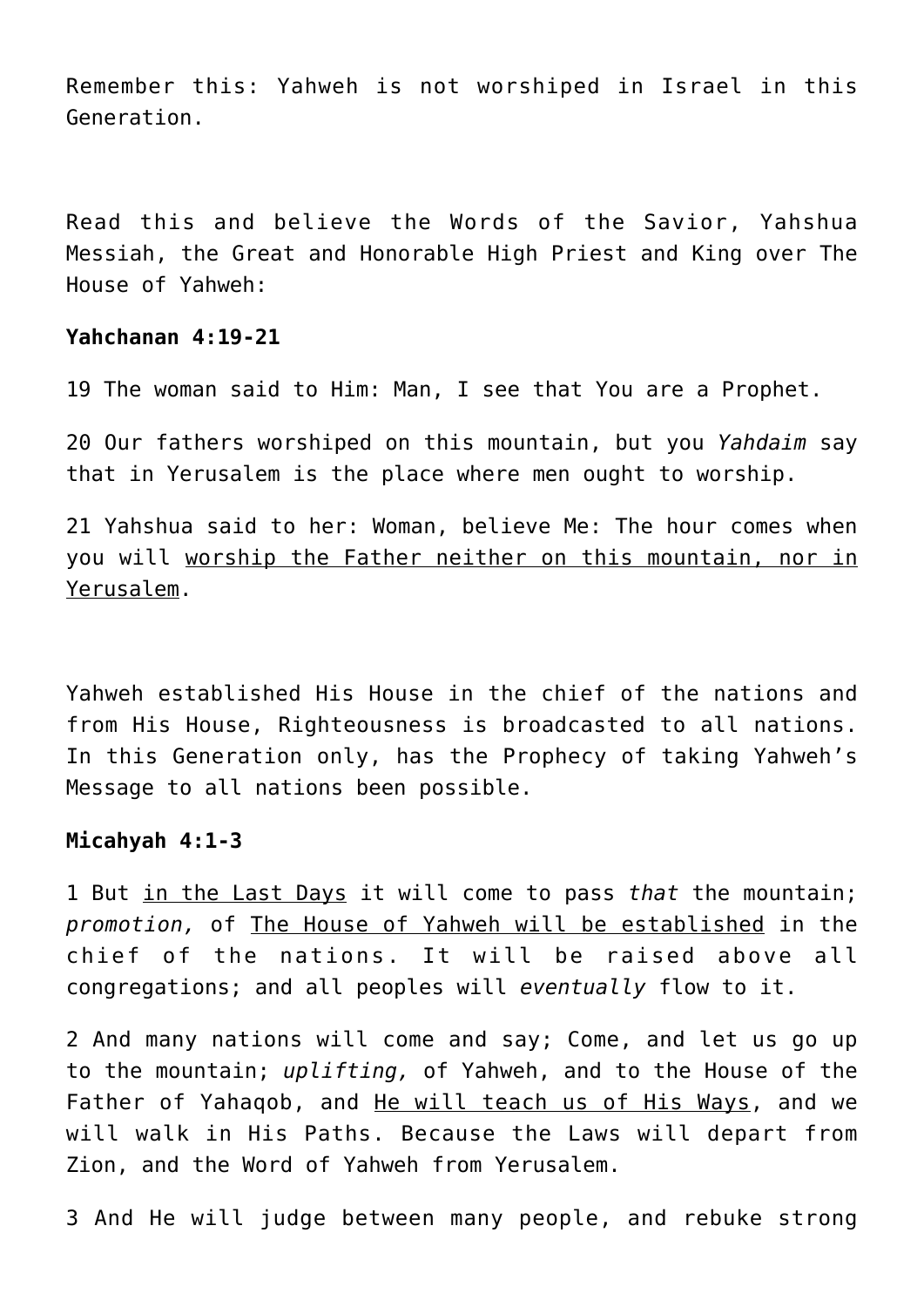Remember this: Yahweh is not worshiped in Israel in this Generation.

Read this and believe the Words of the Savior, Yahshua Messiah, the Great and Honorable High Priest and King over The House of Yahweh:

## **Yahchanan 4:19-21**

19 The woman said to Him: Man, I see that You are a Prophet.

20 Our fathers worshiped on this mountain, but you *Yahdaim* say that in Yerusalem is the place where men ought to worship.

21 Yahshua said to her: Woman, believe Me: The hour comes when you will worship the Father neither on this mountain, nor in Yerusalem.

Yahweh established His House in the chief of the nations and from His House, Righteousness is broadcasted to all nations. In this Generation only, has the Prophecy of taking Yahweh's Message to all nations been possible.

#### **Micahyah 4:1-3**

1 But in the Last Days it will come to pass *that* the mountain; *promotion,* of The House of Yahweh will be established in the chief of the nations. It will be raised above all congregations; and all peoples will *eventually* flow to it.

2 And many nations will come and say; Come, and let us go up to the mountain; *uplifting,* of Yahweh, and to the House of the Father of Yahaqob, and He will teach us of His Ways, and we will walk in His Paths. Because the Laws will depart from Zion, and the Word of Yahweh from Yerusalem.

3 And He will judge between many people, and rebuke strong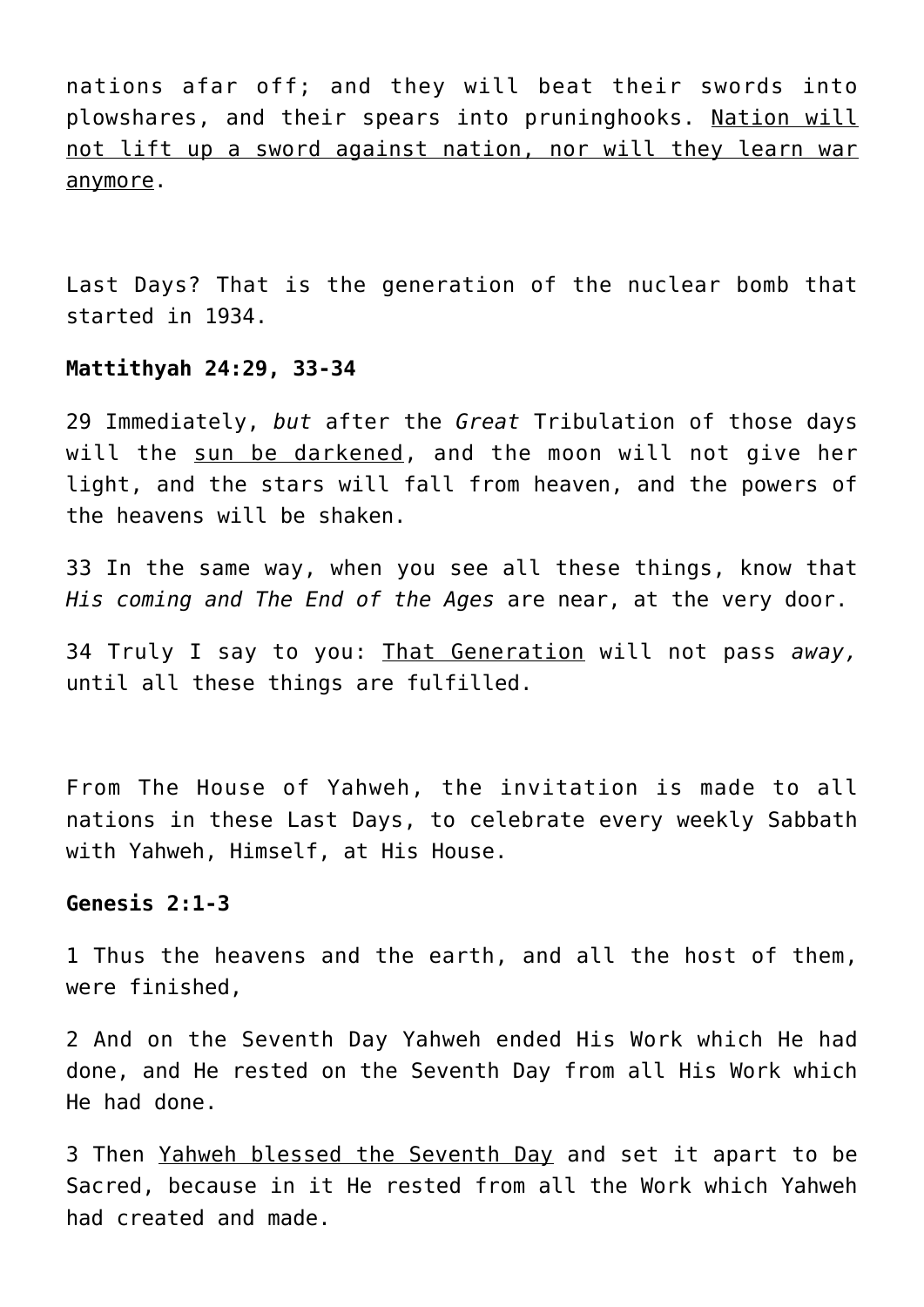nations afar off; and they will beat their swords into plowshares, and their spears into pruninghooks. Nation will not lift up a sword against nation, nor will they learn war anymore.

Last Days? That is the generation of the nuclear bomb that started in 1934.

#### **Mattithyah 24:29, 33-34**

29 Immediately, *but* after the *Great* Tribulation of those days will the sun be darkened, and the moon will not give her light, and the stars will fall from heaven, and the powers of the heavens will be shaken.

33 In the same way, when you see all these things, know that *His coming and The End of the Ages* are near, at the very door.

34 Truly I say to you: That Generation will not pass *away,* until all these things are fulfilled.

From The House of Yahweh, the invitation is made to all nations in these Last Days, to celebrate every weekly Sabbath with Yahweh, Himself, at His House.

#### **Genesis 2:1-3**

1 Thus the heavens and the earth, and all the host of them, were finished,

2 And on the Seventh Day Yahweh ended His Work which He had done, and He rested on the Seventh Day from all His Work which He had done.

3 Then Yahweh blessed the Seventh Day and set it apart to be Sacred, because in it He rested from all the Work which Yahweh had created and made.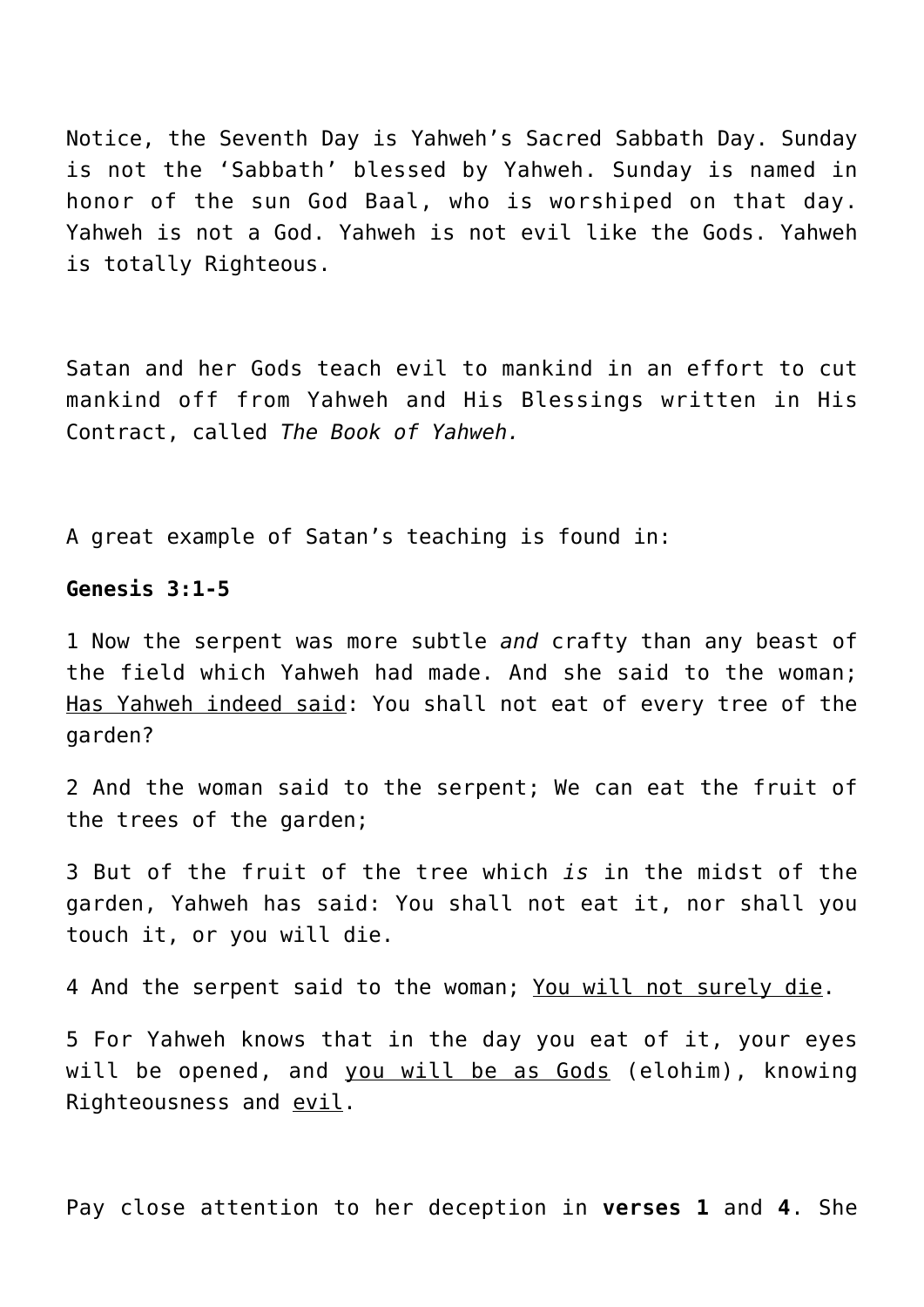Notice, the Seventh Day is Yahweh's Sacred Sabbath Day. Sunday is not the 'Sabbath' blessed by Yahweh. Sunday is named in honor of the sun God Baal, who is worshiped on that day. Yahweh is not a God. Yahweh is not evil like the Gods. Yahweh is totally Righteous.

Satan and her Gods teach evil to mankind in an effort to cut mankind off from Yahweh and His Blessings written in His Contract, called *The Book of Yahweh.*

A great example of Satan's teaching is found in:

## **Genesis 3:1-5**

1 Now the serpent was more subtle *and* crafty than any beast of the field which Yahweh had made. And she said to the woman; Has Yahweh indeed said: You shall not eat of every tree of the garden?

2 And the woman said to the serpent; We can eat the fruit of the trees of the garden;

3 But of the fruit of the tree which *is* in the midst of the garden, Yahweh has said: You shall not eat it, nor shall you touch it, or you will die.

4 And the serpent said to the woman; You will not surely die.

5 For Yahweh knows that in the day you eat of it, your eyes will be opened, and you will be as Gods (elohim), knowing Righteousness and evil.

Pay close attention to her deception in **verses 1** and **4**. She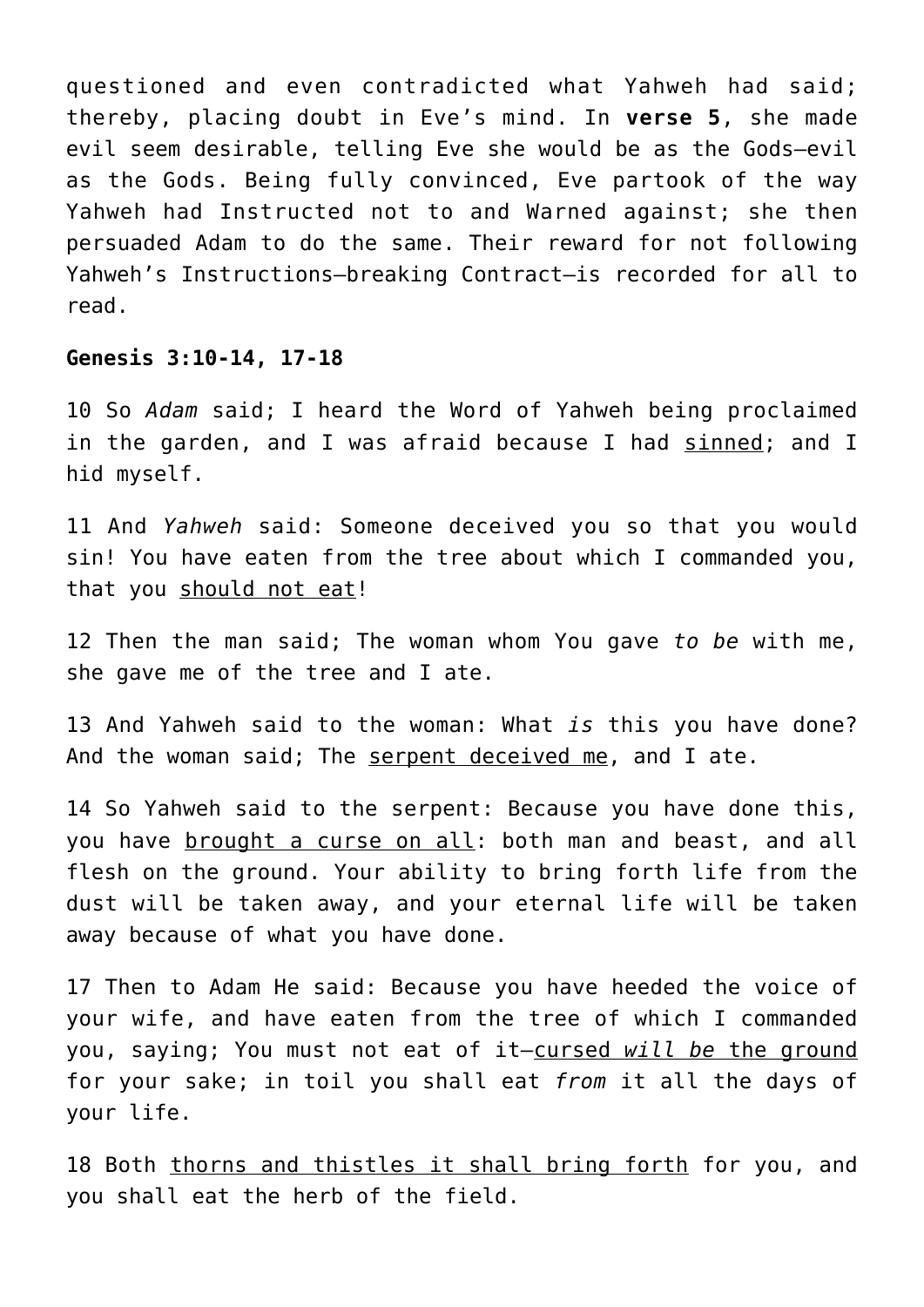questioned and even contradicted what Yahweh had said; thereby, placing doubt in Eve's mind. In **verse 5**, she made evil seem desirable, telling Eve she would be as the Gods—evil as the Gods. Being fully convinced, Eve partook of the way Yahweh had Instructed not to and Warned against; she then persuaded Adam to do the same. Their reward for not following Yahweh's Instructions—breaking Contract—is recorded for all to read.

#### **Genesis 3:10-14, 17-18**

10 So *Adam* said; I heard the Word of Yahweh being proclaimed in the garden, and I was afraid because I had sinned; and I hid myself.

11 And *Yahweh* said: Someone deceived you so that you would sin! You have eaten from the tree about which I commanded you, that you should not eat!

12 Then the man said; The woman whom You gave *to be* with me, she gave me of the tree and I ate.

13 And Yahweh said to the woman: What *is* this you have done? And the woman said; The serpent deceived me, and I ate.

14 So Yahweh said to the serpent: Because you have done this, you have brought a curse on all: both man and beast, and all flesh on the ground. Your ability to bring forth life from the dust will be taken away, and your eternal life will be taken away because of what you have done.

17 Then to Adam He said: Because you have heeded the voice of your wife, and have eaten from the tree of which I commanded you, saying; You must not eat of it—cursed *will be* the ground for your sake; in toil you shall eat *from* it all the days of your life.

18 Both thorns and thistles it shall bring forth for you, and you shall eat the herb of the field.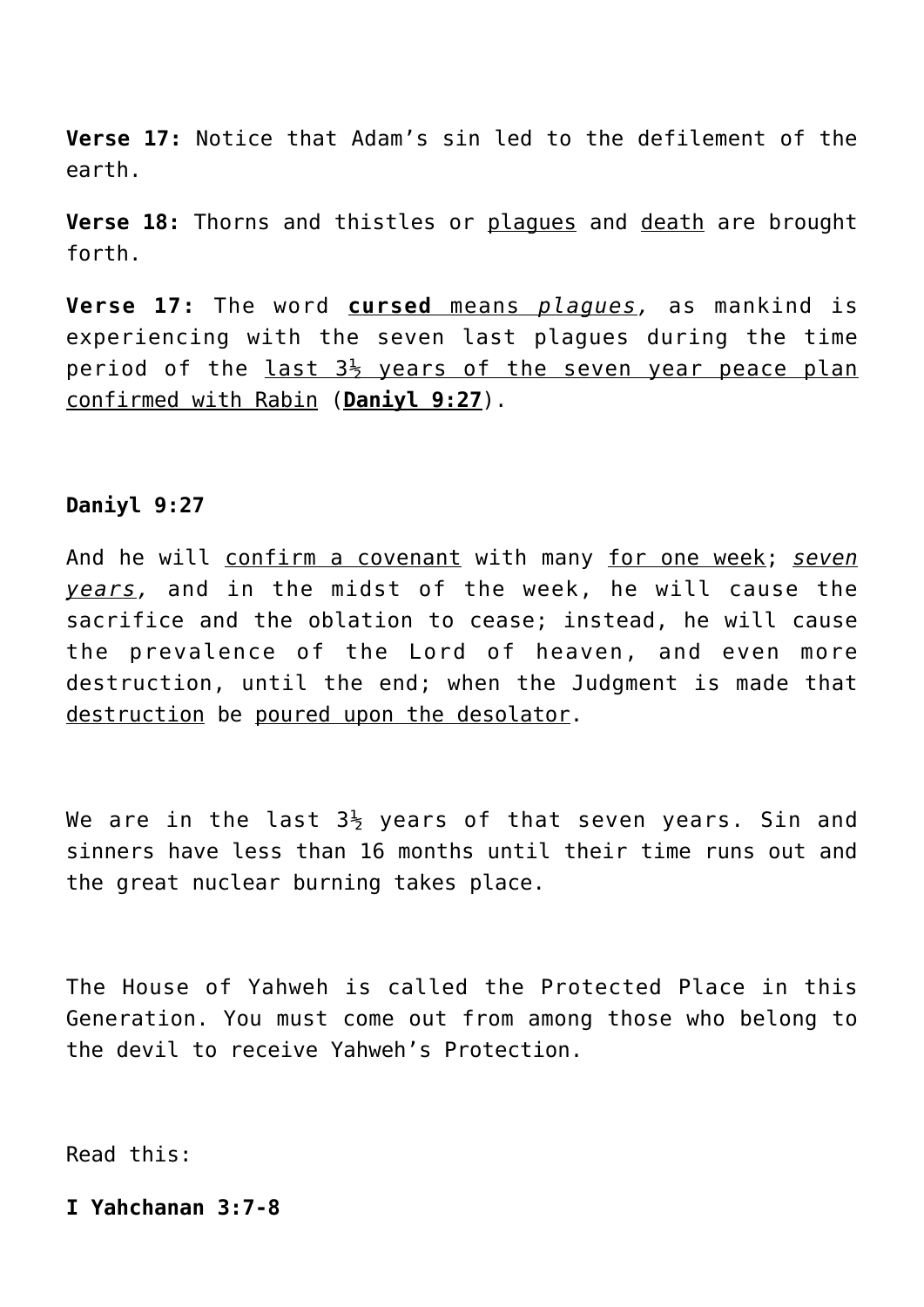**Verse 17:** Notice that Adam's sin led to the defilement of the earth.

**Verse 18:** Thorns and thistles or plagues and death are brought forth.

**Verse 17:** The word **cursed** means *plagues,* as mankind is experiencing with the seven last plagues during the time period of the last  $3\frac{1}{2}$  years of the seven year peace plan confirmed with Rabin (**Daniyl 9:27**).

# **Daniyl 9:27**

And he will confirm a covenant with many for one week; *seven years,* and in the midst of the week, he will cause the sacrifice and the oblation to cease; instead, he will cause the prevalence of the Lord of heaven, and even more destruction, until the end; when the Judgment is made that destruction be poured upon the desolator.

We are in the last  $3\frac{1}{2}$  years of that seven years. Sin and sinners have less than 16 months until their time runs out and the great nuclear burning takes place.

The House of Yahweh is called the Protected Place in this Generation. You must come out from among those who belong to the devil to receive Yahweh's Protection.

Read this:

# **I Yahchanan 3:7-8**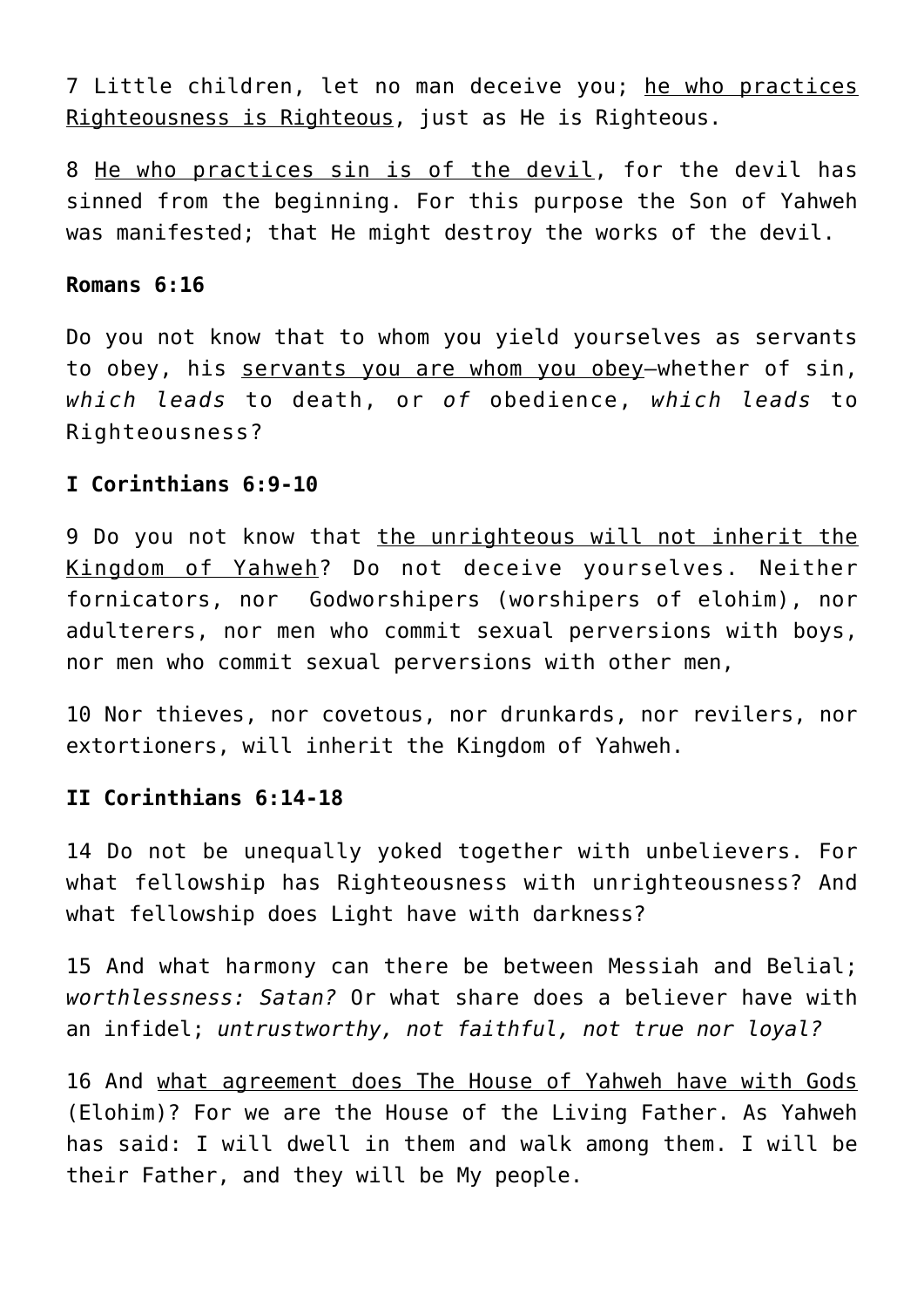7 Little children, let no man deceive you; he who practices Righteousness is Righteous, just as He is Righteous.

8 He who practices sin is of the devil, for the devil has sinned from the beginning. For this purpose the Son of Yahweh was manifested; that He might destroy the works of the devil.

## **Romans 6:16**

Do you not know that to whom you yield yourselves as servants to obey, his servants you are whom you obey—whether of sin, *which leads* to death, or *of* obedience, *which leads* to Righteousness?

## **I Corinthians 6:9-10**

9 Do you not know that the unrighteous will not inherit the Kingdom of Yahweh? Do not deceive yourselves. Neither fornicators, nor Godworshipers (worshipers of elohim), nor adulterers, nor men who commit sexual perversions with boys, nor men who commit sexual perversions with other men,

10 Nor thieves, nor covetous, nor drunkards, nor revilers, nor extortioners, will inherit the Kingdom of Yahweh.

# **II Corinthians 6:14-18**

14 Do not be unequally yoked together with unbelievers. For what fellowship has Righteousness with unrighteousness? And what fellowship does Light have with darkness?

15 And what harmony can there be between Messiah and Belial; *worthlessness: Satan?* Or what share does a believer have with an infidel; *untrustworthy, not faithful, not true nor loyal?*

16 And what agreement does The House of Yahweh have with Gods (Elohim)? For we are the House of the Living Father. As Yahweh has said: I will dwell in them and walk among them. I will be their Father, and they will be My people.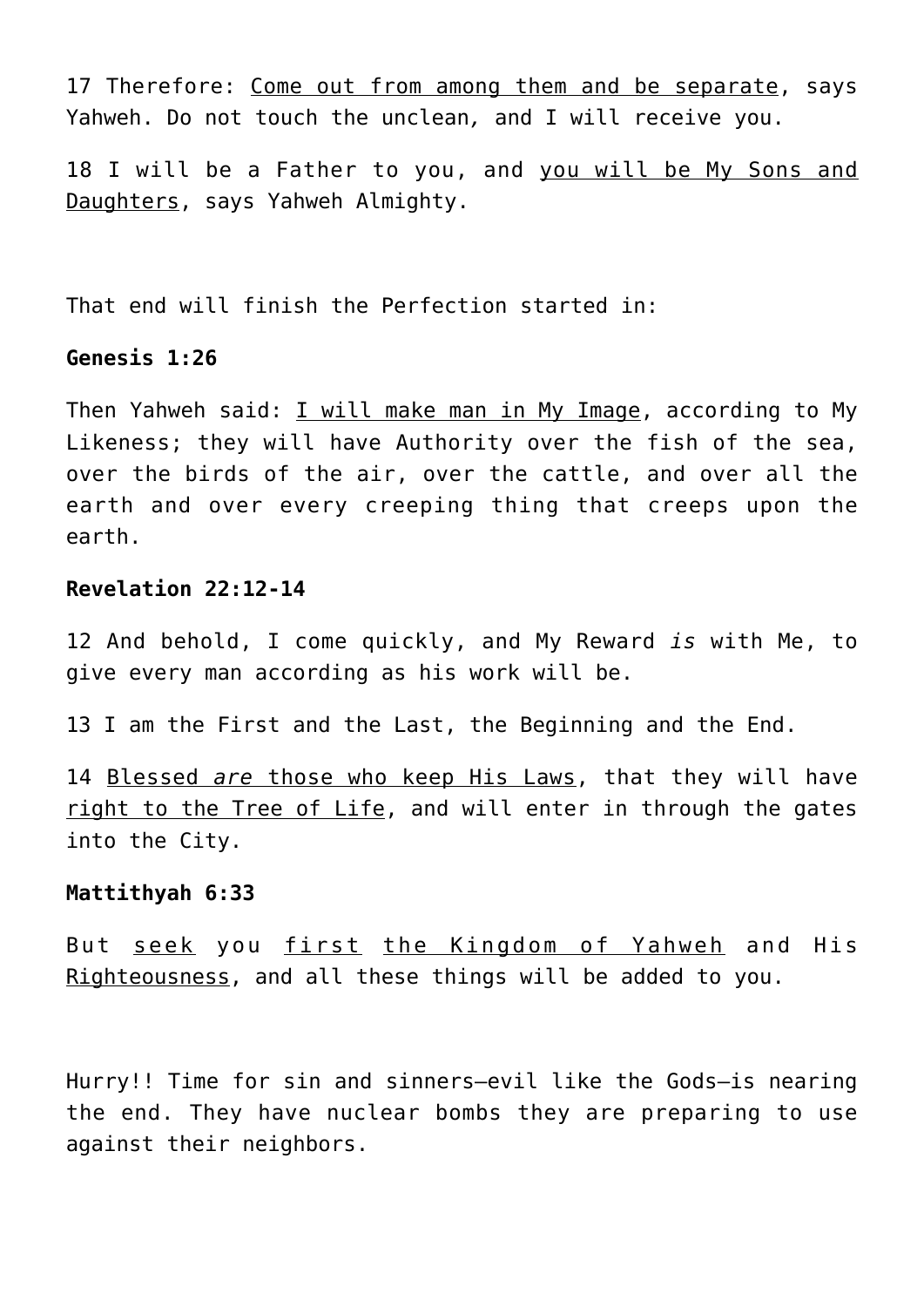17 Therefore: Come out from among them and be separate, says Yahweh. Do not touch the unclean*,* and I will receive you.

18 I will be a Father to you, and you will be My Sons and Daughters, says Yahweh Almighty.

That end will finish the Perfection started in:

## **Genesis 1:26**

Then Yahweh said: I will make man in My Image, according to My Likeness; they will have Authority over the fish of the sea, over the birds of the air, over the cattle, and over all the earth and over every creeping thing that creeps upon the earth.

# **Revelation 22:12-14**

12 And behold, I come quickly, and My Reward *is* with Me, to give every man according as his work will be.

13 I am the First and the Last, the Beginning and the End.

14 Blessed *are* those who keep His Laws, that they will have right to the Tree of Life, and will enter in through the gates into the City.

## **Mattithyah 6:33**

But seek you first the Kingdom of Yahweh and His Righteousness, and all these things will be added to you.

Hurry!! Time for sin and sinners—evil like the Gods—is nearing the end. They have nuclear bombs they are preparing to use against their neighbors.